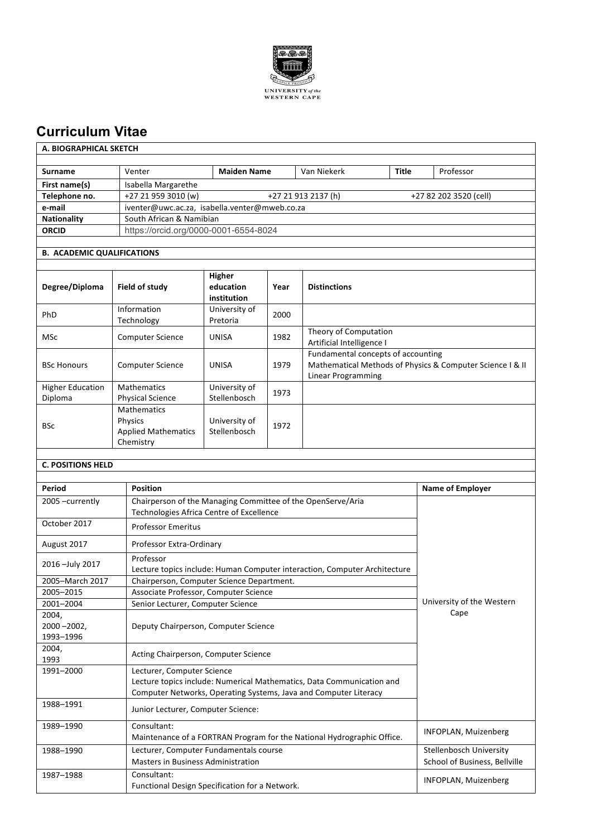

## **Curriculum Vitae**

| A. BIOGRAPHICAL SKETCH |
|------------------------|
|------------------------|

| <b>Surname</b>     | Venter                                                               | <b>Maiden Name</b> | Van Niekerk | Title | Professor |
|--------------------|----------------------------------------------------------------------|--------------------|-------------|-------|-----------|
| First name(s)      | Isabella Margarethe                                                  |                    |             |       |           |
| Telephone no.      | +27 21 959 3010 (w)<br>+27 21 913 2137 (h)<br>+27 82 202 3520 (cell) |                    |             |       |           |
| e-mail             | iventer@uwc.ac.za, isabella.venter@mweb.co.za                        |                    |             |       |           |
| <b>Nationality</b> | South African & Namibian                                             |                    |             |       |           |
| <b>ORCID</b>       | https://orcid.org/0000-0001-6554-8024                                |                    |             |       |           |
|                    |                                                                      |                    |             |       |           |

## **B. ACADEMIC QUALIFICATIONS**

| Degree/Diploma                     | Field of study                                                           | <b>Higher</b><br>education<br>institution | Year | <b>Distinctions</b>                                                                                                   |
|------------------------------------|--------------------------------------------------------------------------|-------------------------------------------|------|-----------------------------------------------------------------------------------------------------------------------|
| <b>PhD</b>                         | Information<br>Technology                                                | University of<br>Pretoria                 | 2000 |                                                                                                                       |
| <b>MSc</b>                         | <b>Computer Science</b>                                                  | <b>UNISA</b>                              | 1982 | Theory of Computation<br>Artificial Intelligence I                                                                    |
| <b>BSc Honours</b>                 | <b>Computer Science</b>                                                  | <b>UNISA</b>                              | 1979 | Fundamental concepts of accounting<br>Mathematical Methods of Physics & Computer Science I & II<br>Linear Programming |
| <b>Higher Education</b><br>Diploma | <b>Mathematics</b><br><b>Physical Science</b>                            | University of<br>Stellenbosch             | 1973 |                                                                                                                       |
| <b>BSc</b>                         | <b>Mathematics</b><br>Physics<br><b>Applied Mathematics</b><br>Chemistry | University of<br>Stellenbosch             | 1972 |                                                                                                                       |

## **C. POSITIONS HELD**

| Period                                | <b>Position</b>                                                                                                                           | <b>Name of Employer</b>       |
|---------------------------------------|-------------------------------------------------------------------------------------------------------------------------------------------|-------------------------------|
| 2005 -currently                       | Chairperson of the Managing Committee of the OpenServe/Aria<br>Technologies Africa Centre of Excellence                                   |                               |
| October 2017                          | <b>Professor Emeritus</b>                                                                                                                 |                               |
| August 2017                           | Professor Extra-Ordinary                                                                                                                  |                               |
| 2016 - July 2017                      | Professor<br>Lecture topics include: Human Computer interaction, Computer Architecture                                                    |                               |
| 2005-March 2017                       | Chairperson, Computer Science Department.                                                                                                 |                               |
| 2005-2015                             | Associate Professor, Computer Science                                                                                                     |                               |
| 2001-2004                             | Senior Lecturer, Computer Science                                                                                                         | University of the Western     |
| 2004,<br>$2000 - 2002$ .<br>1993-1996 | Deputy Chairperson, Computer Science                                                                                                      | Cape                          |
| 2004,<br>1993                         | Acting Chairperson, Computer Science                                                                                                      |                               |
| 1991-2000                             | Lecturer, Computer Science                                                                                                                |                               |
|                                       | Lecture topics include: Numerical Mathematics, Data Communication and<br>Computer Networks, Operating Systems, Java and Computer Literacy |                               |
| 1988-1991                             | Junior Lecturer, Computer Science:                                                                                                        |                               |
| 1989-1990                             | Consultant:<br>Maintenance of a FORTRAN Program for the National Hydrographic Office.                                                     | <b>INFOPLAN, Muizenberg</b>   |
| 1988-1990                             | Lecturer, Computer Fundamentals course                                                                                                    | Stellenbosch University       |
|                                       | Masters in Business Administration                                                                                                        | School of Business, Bellville |
| 1987-1988                             | Consultant:<br>Functional Design Specification for a Network.                                                                             | <b>INFOPLAN, Muizenberg</b>   |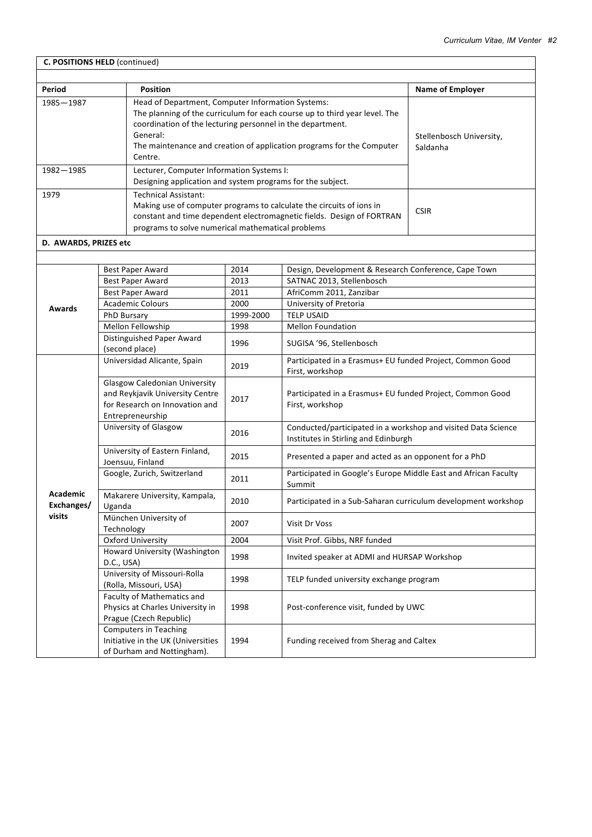| C. POSITIONS HELD (continued) |                                                        |                                                                                                                                                                                                                                                                                               |           |                                                                                                       |                                      |
|-------------------------------|--------------------------------------------------------|-----------------------------------------------------------------------------------------------------------------------------------------------------------------------------------------------------------------------------------------------------------------------------------------------|-----------|-------------------------------------------------------------------------------------------------------|--------------------------------------|
|                               |                                                        |                                                                                                                                                                                                                                                                                               |           |                                                                                                       |                                      |
| Period                        |                                                        | <b>Position</b>                                                                                                                                                                                                                                                                               |           |                                                                                                       | <b>Name of Employer</b>              |
| 1985-1987                     |                                                        | Head of Department, Computer Information Systems:<br>The planning of the curriculum for each course up to third year level. The<br>coordination of the lecturing personnel in the department.<br>General:<br>The maintenance and creation of application programs for the Computer<br>Centre. |           |                                                                                                       | Stellenbosch University,<br>Saldanha |
| 1982-1985                     |                                                        | Lecturer, Computer Information Systems I:<br>Designing application and system programs for the subject.                                                                                                                                                                                       |           |                                                                                                       |                                      |
| 1979                          |                                                        | <b>Technical Assistant:</b><br>Making use of computer programs to calculate the circuits of ions in<br>constant and time dependent electromagnetic fields. Design of FORTRAN<br>programs to solve numerical mathematical problems                                                             |           |                                                                                                       | <b>CSIR</b>                          |
| D. AWARDS, PRIZES etc         |                                                        |                                                                                                                                                                                                                                                                                               |           |                                                                                                       |                                      |
|                               |                                                        |                                                                                                                                                                                                                                                                                               |           |                                                                                                       |                                      |
|                               | Best Paper Award                                       |                                                                                                                                                                                                                                                                                               | 2014      | Design, Development & Research Conference, Cape Town                                                  |                                      |
|                               | <b>Best Paper Award</b>                                |                                                                                                                                                                                                                                                                                               | 2013      | SATNAC 2013, Stellenbosch                                                                             |                                      |
|                               | Best Paper Award                                       |                                                                                                                                                                                                                                                                                               | 2011      | AfriComm 2011, Zanzibar                                                                               |                                      |
|                               | <b>Academic Colours</b>                                |                                                                                                                                                                                                                                                                                               | 2000      | University of Pretoria                                                                                |                                      |
| <b>Awards</b>                 | <b>PhD Bursary</b>                                     |                                                                                                                                                                                                                                                                                               | 1999-2000 | <b>TELP USAID</b>                                                                                     |                                      |
|                               | Mellon Fellowship                                      |                                                                                                                                                                                                                                                                                               | 1998      | <b>Mellon Foundation</b>                                                                              |                                      |
|                               | Distinguished Paper Award<br>(second place)            |                                                                                                                                                                                                                                                                                               | 1996      | SUGISA '96, Stellenbosch                                                                              |                                      |
|                               | Universidad Alicante, Spain                            |                                                                                                                                                                                                                                                                                               | 2019      | Participated in a Erasmus+ EU funded Project, Common Good<br>First, workshop                          |                                      |
|                               | Entrepreneurship                                       | <b>Glasgow Caledonian University</b><br>and Reykjavik University Centre<br>for Research on Innovation and                                                                                                                                                                                     | 2017      | Participated in a Erasmus+ EU funded Project, Common Good<br>First, workshop                          |                                      |
|                               | University of Glasgow                                  |                                                                                                                                                                                                                                                                                               | 2016      | Conducted/participated in a workshop and visited Data Science<br>Institutes in Stirling and Edinburgh |                                      |
|                               | Joensuu, Finland                                       | University of Eastern Finland,                                                                                                                                                                                                                                                                | 2015      | Presented a paper and acted as an opponent for a PhD                                                  |                                      |
|                               | Google, Zurich, Switzerland                            |                                                                                                                                                                                                                                                                                               | 2011      | Participated in Google's Europe Middle East and African Faculty<br>Summit                             |                                      |
| Academic<br>Exchanges/        | Uganda                                                 | Makarere University, Kampala,                                                                                                                                                                                                                                                                 | 2010      | Participated in a Sub-Saharan curriculum development workshop                                         |                                      |
| visits                        | München University of<br>Technology                    |                                                                                                                                                                                                                                                                                               | 2007      | Visit Dr Voss                                                                                         |                                      |
|                               | <b>Oxford University</b>                               |                                                                                                                                                                                                                                                                                               | 2004      | Visit Prof. Gibbs, NRF funded                                                                         |                                      |
|                               | D.C., USA)                                             | Howard University (Washington                                                                                                                                                                                                                                                                 | 1998      | Invited speaker at ADMI and HURSAP Workshop                                                           |                                      |
|                               | University of Missouri-Rolla<br>(Rolla, Missouri, USA) |                                                                                                                                                                                                                                                                                               | 1998      | TELP funded university exchange program                                                               |                                      |
|                               | Faculty of Mathematics and<br>Prague (Czech Republic)  | Physics at Charles University in                                                                                                                                                                                                                                                              | 1998      | Post-conference visit, funded by UWC                                                                  |                                      |
|                               | <b>Computers in Teaching</b>                           | Initiative in the UK (Universities<br>of Durham and Nottingham).                                                                                                                                                                                                                              | 1994      | Funding received from Sherag and Caltex                                                               |                                      |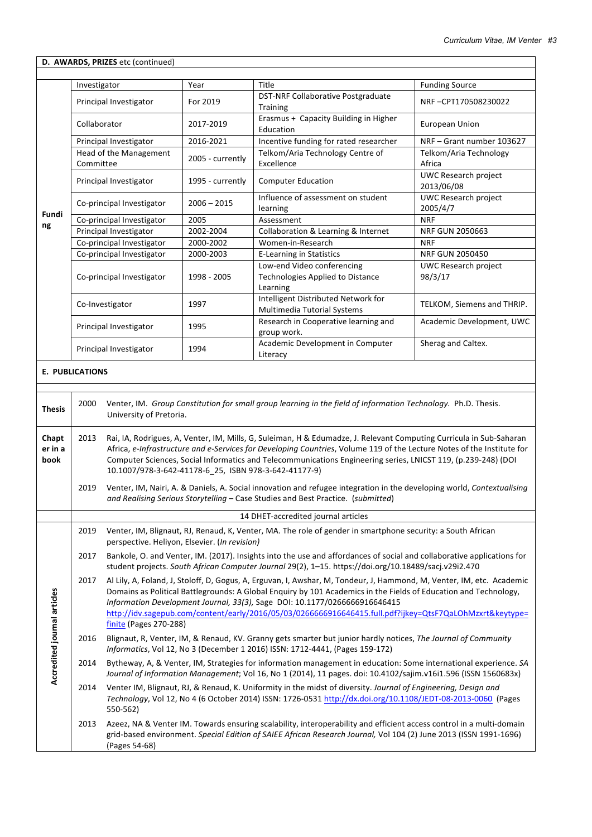|                             | D. AWARDS, PRIZES etc (continued)                                                                                                                                                                                                                                                                                                                                                                                               |                                                                                                                                                                                                                                                                                                                                                                                                                                                               |                  |                                                                                                                                                                                                                                           |                                           |  |  |  |
|-----------------------------|---------------------------------------------------------------------------------------------------------------------------------------------------------------------------------------------------------------------------------------------------------------------------------------------------------------------------------------------------------------------------------------------------------------------------------|---------------------------------------------------------------------------------------------------------------------------------------------------------------------------------------------------------------------------------------------------------------------------------------------------------------------------------------------------------------------------------------------------------------------------------------------------------------|------------------|-------------------------------------------------------------------------------------------------------------------------------------------------------------------------------------------------------------------------------------------|-------------------------------------------|--|--|--|
|                             |                                                                                                                                                                                                                                                                                                                                                                                                                                 |                                                                                                                                                                                                                                                                                                                                                                                                                                                               |                  |                                                                                                                                                                                                                                           |                                           |  |  |  |
|                             | Investigator                                                                                                                                                                                                                                                                                                                                                                                                                    |                                                                                                                                                                                                                                                                                                                                                                                                                                                               | Year             | Title                                                                                                                                                                                                                                     | <b>Funding Source</b>                     |  |  |  |
|                             |                                                                                                                                                                                                                                                                                                                                                                                                                                 | Principal Investigator                                                                                                                                                                                                                                                                                                                                                                                                                                        | For 2019         | DST-NRF Collaborative Postgraduate<br>Training                                                                                                                                                                                            | NRF-CPT170508230022                       |  |  |  |
|                             | Collaborator                                                                                                                                                                                                                                                                                                                                                                                                                    |                                                                                                                                                                                                                                                                                                                                                                                                                                                               | 2017-2019        | Erasmus + Capacity Building in Higher<br>Education                                                                                                                                                                                        | <b>European Union</b>                     |  |  |  |
|                             |                                                                                                                                                                                                                                                                                                                                                                                                                                 | Principal Investigator                                                                                                                                                                                                                                                                                                                                                                                                                                        | 2016-2021        | Incentive funding for rated researcher                                                                                                                                                                                                    | NRF-Grant number 103627                   |  |  |  |
|                             |                                                                                                                                                                                                                                                                                                                                                                                                                                 | Head of the Management                                                                                                                                                                                                                                                                                                                                                                                                                                        | 2005 - currently | Telkom/Aria Technology Centre of                                                                                                                                                                                                          | Telkom/Aria Technology                    |  |  |  |
|                             | Committee                                                                                                                                                                                                                                                                                                                                                                                                                       |                                                                                                                                                                                                                                                                                                                                                                                                                                                               |                  | Excellence                                                                                                                                                                                                                                | Africa                                    |  |  |  |
|                             |                                                                                                                                                                                                                                                                                                                                                                                                                                 | Principal Investigator                                                                                                                                                                                                                                                                                                                                                                                                                                        | 1995 - currently | <b>Computer Education</b>                                                                                                                                                                                                                 | <b>UWC Research project</b><br>2013/06/08 |  |  |  |
| Fundi                       |                                                                                                                                                                                                                                                                                                                                                                                                                                 | Co-principal Investigator                                                                                                                                                                                                                                                                                                                                                                                                                                     | $2006 - 2015$    | Influence of assessment on student<br>learning                                                                                                                                                                                            | <b>UWC Research project</b><br>2005/4/7   |  |  |  |
| ng                          |                                                                                                                                                                                                                                                                                                                                                                                                                                 | Co-principal Investigator                                                                                                                                                                                                                                                                                                                                                                                                                                     | 2005             | Assessment                                                                                                                                                                                                                                | <b>NRF</b>                                |  |  |  |
|                             |                                                                                                                                                                                                                                                                                                                                                                                                                                 | Principal Investigator                                                                                                                                                                                                                                                                                                                                                                                                                                        | 2002-2004        | Collaboration & Learning & Internet                                                                                                                                                                                                       | NRF GUN 2050663                           |  |  |  |
|                             |                                                                                                                                                                                                                                                                                                                                                                                                                                 | Co-principal Investigator                                                                                                                                                                                                                                                                                                                                                                                                                                     | 2000-2002        | Women-in-Research                                                                                                                                                                                                                         | <b>NRF</b>                                |  |  |  |
|                             |                                                                                                                                                                                                                                                                                                                                                                                                                                 | Co-principal Investigator                                                                                                                                                                                                                                                                                                                                                                                                                                     | 2000-2003        | <b>E-Learning in Statistics</b>                                                                                                                                                                                                           | <b>NRF GUN 2050450</b>                    |  |  |  |
|                             |                                                                                                                                                                                                                                                                                                                                                                                                                                 | Co-principal Investigator                                                                                                                                                                                                                                                                                                                                                                                                                                     | 1998 - 2005      | Low-end Video conferencing<br>Technologies Applied to Distance<br>Learning                                                                                                                                                                | UWC Research project<br>98/3/17           |  |  |  |
|                             |                                                                                                                                                                                                                                                                                                                                                                                                                                 | Co-Investigator                                                                                                                                                                                                                                                                                                                                                                                                                                               | 1997             | Intelligent Distributed Network for<br><b>Multimedia Tutorial Systems</b>                                                                                                                                                                 | TELKOM, Siemens and THRIP.                |  |  |  |
|                             |                                                                                                                                                                                                                                                                                                                                                                                                                                 | Principal Investigator                                                                                                                                                                                                                                                                                                                                                                                                                                        | 1995             | Research in Cooperative learning and<br>group work.                                                                                                                                                                                       | Academic Development, UWC                 |  |  |  |
|                             |                                                                                                                                                                                                                                                                                                                                                                                                                                 | Principal Investigator                                                                                                                                                                                                                                                                                                                                                                                                                                        | 1994             | Academic Development in Computer<br>Literacy                                                                                                                                                                                              | Sherag and Caltex.                        |  |  |  |
|                             | <b>E. PUBLICATIONS</b>                                                                                                                                                                                                                                                                                                                                                                                                          |                                                                                                                                                                                                                                                                                                                                                                                                                                                               |                  |                                                                                                                                                                                                                                           |                                           |  |  |  |
|                             |                                                                                                                                                                                                                                                                                                                                                                                                                                 |                                                                                                                                                                                                                                                                                                                                                                                                                                                               |                  |                                                                                                                                                                                                                                           |                                           |  |  |  |
| <b>Thesis</b>               | 2000                                                                                                                                                                                                                                                                                                                                                                                                                            | University of Pretoria.                                                                                                                                                                                                                                                                                                                                                                                                                                       |                  | Venter, IM. Group Constitution for small group learning in the field of Information Technology. Ph.D. Thesis.                                                                                                                             |                                           |  |  |  |
| Chapt<br>er in a<br>book    | Rai, IA, Rodrigues, A, Venter, IM, Mills, G, Suleiman, H & Edumadze, J. Relevant Computing Curricula in Sub-Saharan<br>2013<br>Africa, e-Infrastructure and e-Services for Developing Countries, Volume 119 of the Lecture Notes of the Institute for<br>Computer Sciences, Social Informatics and Telecommunications Engineering series, LNICST 119, (p.239-248) (DOI<br>10.1007/978-3-642-41178-6_25, ISBN 978-3-642-41177-9) |                                                                                                                                                                                                                                                                                                                                                                                                                                                               |                  |                                                                                                                                                                                                                                           |                                           |  |  |  |
|                             | 2019                                                                                                                                                                                                                                                                                                                                                                                                                            | Venter, IM, Nairi, A. & Daniels, A. Social innovation and refugee integration in the developing world, Contextualising<br>and Realising Serious Storytelling - Case Studies and Best Practice. (submitted)                                                                                                                                                                                                                                                    |                  |                                                                                                                                                                                                                                           |                                           |  |  |  |
|                             |                                                                                                                                                                                                                                                                                                                                                                                                                                 |                                                                                                                                                                                                                                                                                                                                                                                                                                                               |                  | 14 DHET-accredited journal articles                                                                                                                                                                                                       |                                           |  |  |  |
|                             | 2019                                                                                                                                                                                                                                                                                                                                                                                                                            | Venter, IM, Blignaut, RJ, Renaud, K, Venter, MA. The role of gender in smartphone security: a South African<br>perspective. Heliyon, Elsevier. (In revision)                                                                                                                                                                                                                                                                                                  |                  |                                                                                                                                                                                                                                           |                                           |  |  |  |
|                             | 2017                                                                                                                                                                                                                                                                                                                                                                                                                            | Bankole, O. and Venter, IM. (2017). Insights into the use and affordances of social and collaborative applications for<br>student projects. South African Computer Journal 29(2), 1-15. https://doi.org/10.18489/sacj.v29i2.470                                                                                                                                                                                                                               |                  |                                                                                                                                                                                                                                           |                                           |  |  |  |
| Accredited journal articles | 2017                                                                                                                                                                                                                                                                                                                                                                                                                            | Al Lily, A, Foland, J, Stoloff, D, Gogus, A, Erguvan, I, Awshar, M, Tondeur, J, Hammond, M, Venter, IM, etc. Academic<br>Domains as Political Battlegrounds: A Global Enquiry by 101 Academics in the Fields of Education and Technology,<br>Information Development Journal, 33(3), Sage DOI: 10.1177/0266666916646415<br>http://idv.sagepub.com/content/early/2016/05/03/0266666916646415.full.pdf?ijkey=QtsF7QaLOhMzxrt&keytype=<br>finite (Pages 270-288) |                  |                                                                                                                                                                                                                                           |                                           |  |  |  |
|                             | 2016                                                                                                                                                                                                                                                                                                                                                                                                                            |                                                                                                                                                                                                                                                                                                                                                                                                                                                               |                  | Blignaut, R, Venter, IM, & Renaud, KV. Granny gets smarter but junior hardly notices, The Journal of Community<br>Informatics, Vol 12, No 3 (December 1 2016) ISSN: 1712-4441, (Pages 159-172)                                            |                                           |  |  |  |
|                             | 2014                                                                                                                                                                                                                                                                                                                                                                                                                            |                                                                                                                                                                                                                                                                                                                                                                                                                                                               |                  | Bytheway, A, & Venter, IM, Strategies for information management in education: Some international experience. SA<br>Journal of Information Management; Vol 16, No 1 (2014), 11 pages. doi: 10.4102/sajim.v16i1.596 (ISSN 1560683x)        |                                           |  |  |  |
|                             | 2014                                                                                                                                                                                                                                                                                                                                                                                                                            | 550-562)                                                                                                                                                                                                                                                                                                                                                                                                                                                      |                  | Venter IM, Blignaut, RJ, & Renaud, K. Uniformity in the midst of diversity. Journal of Engineering, Design and<br>Technology, Vol 12, No 4 (6 October 2014) ISSN: 1726-0531 http://dx.doi.org/10.1108/JEDT-08-2013-0060 (Pages            |                                           |  |  |  |
|                             | 2013                                                                                                                                                                                                                                                                                                                                                                                                                            | (Pages 54-68)                                                                                                                                                                                                                                                                                                                                                                                                                                                 |                  | Azeez, NA & Venter IM. Towards ensuring scalability, interoperability and efficient access control in a multi-domain<br>grid-based environment. Special Edition of SAIEE African Research Journal, Vol 104 (2) June 2013 (ISSN 1991-1696) |                                           |  |  |  |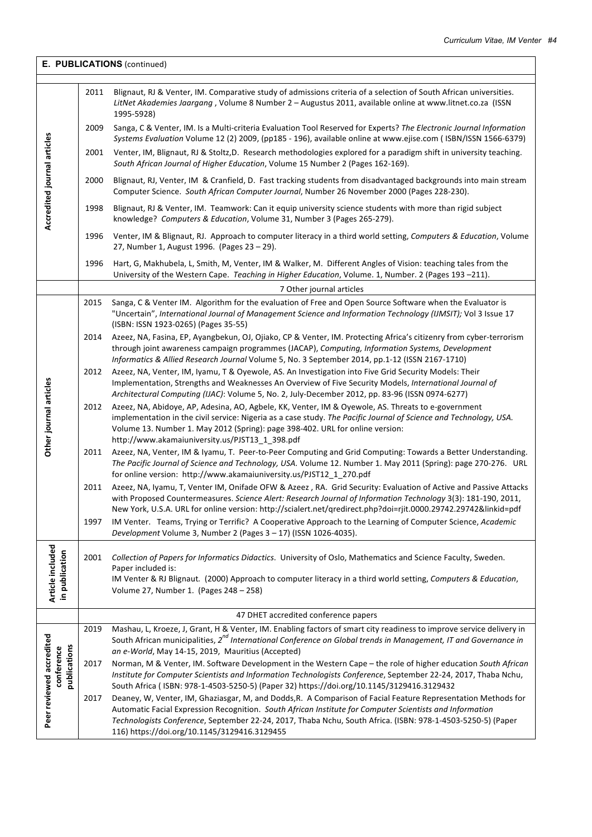| E. PUBLICATIONS (continued)        |      |                                                                                                                                                                                                                                                                                                                                                                                          |  |  |
|------------------------------------|------|------------------------------------------------------------------------------------------------------------------------------------------------------------------------------------------------------------------------------------------------------------------------------------------------------------------------------------------------------------------------------------------|--|--|
|                                    | 2011 | Blignaut, RJ & Venter, IM. Comparative study of admissions criteria of a selection of South African universities.<br>LitNet Akademies Jaargang, Volume 8 Number 2 - Augustus 2011, available online at www.litnet.co.za (ISSN<br>1995-5928)                                                                                                                                              |  |  |
|                                    | 2009 | Sanga, C & Venter, IM. Is a Multi-criteria Evaluation Tool Reserved for Experts? The Electronic Journal Information<br>Systems Evaluation Volume 12 (2) 2009, (pp185 - 196), available online at www.ejise.com ( ISBN/ISSN 1566-6379)                                                                                                                                                    |  |  |
|                                    | 2001 | Venter, IM, Blignaut, RJ & Stoltz, D. Research methodologies explored for a paradigm shift in university teaching.<br>South African Journal of Higher Education, Volume 15 Number 2 (Pages 162-169).                                                                                                                                                                                     |  |  |
| Accredited journal articles        | 2000 | Blignaut, RJ, Venter, IM & Cranfield, D. Fast tracking students from disadvantaged backgrounds into main stream<br>Computer Science. South African Computer Journal, Number 26 November 2000 (Pages 228-230).                                                                                                                                                                            |  |  |
|                                    | 1998 | Blignaut, RJ & Venter, IM. Teamwork: Can it equip university science students with more than rigid subject<br>knowledge? Computers & Education, Volume 31, Number 3 (Pages 265-279).                                                                                                                                                                                                     |  |  |
|                                    | 1996 | Venter, IM & Blignaut, RJ. Approach to computer literacy in a third world setting, Computers & Education, Volume<br>27, Number 1, August 1996. (Pages 23 - 29).                                                                                                                                                                                                                          |  |  |
|                                    | 1996 | Hart, G, Makhubela, L, Smith, M, Venter, IM & Walker, M. Different Angles of Vision: teaching tales from the<br>University of the Western Cape. Teaching in Higher Education, Volume. 1, Number. 2 (Pages 193-211).                                                                                                                                                                      |  |  |
|                                    |      | 7 Other journal articles                                                                                                                                                                                                                                                                                                                                                                 |  |  |
|                                    | 2015 | Sanga, C & Venter IM. Algorithm for the evaluation of Free and Open Source Software when the Evaluator is<br>"Uncertain", International Journal of Management Science and Information Technology (IJMSIT); Vol 3 Issue 17<br>(ISBN: ISSN 1923-0265) (Pages 35-55)                                                                                                                        |  |  |
|                                    | 2014 | Azeez, NA, Fasina, EP, Ayangbekun, OJ, Ojiako, CP & Venter, IM. Protecting Africa's citizenry from cyber-terrorism<br>through joint awareness campaign programmes (JACAP), Computing, Information Systems, Development<br>Informatics & Allied Research Journal Volume 5, No. 3 September 2014, pp.1-12 (ISSN 2167-1710)                                                                 |  |  |
|                                    | 2012 | Azeez, NA, Venter, IM, Iyamu, T & Oyewole, AS. An Investigation into Five Grid Security Models: Their<br>Implementation, Strengths and Weaknesses An Overview of Five Security Models, International Journal of<br>Architectural Computing (IJAC): Volume 5, No. 2, July-December 2012, pp. 83-96 (ISSN 0974-6277)                                                                       |  |  |
| Other journal articles             | 2012 | Azeez, NA, Abidoye, AP, Adesina, AO, Agbele, KK, Venter, IM & Oyewole, AS. Threats to e-government<br>implementation in the civil service: Nigeria as a case study. The Pacific Journal of Science and Technology, USA.<br>Volume 13. Number 1. May 2012 (Spring): page 398-402. URL for online version:<br>http://www.akamaiuniversity.us/PJST13_1_398.pdf                              |  |  |
|                                    | 2011 | Azeez, NA, Venter, IM & Iyamu, T. Peer-to-Peer Computing and Grid Computing: Towards a Better Understanding.<br>The Pacific Journal of Science and Technology, USA. Volume 12. Number 1. May 2011 (Spring): page 270-276. URL<br>for online version: http://www.akamaiuniversity.us/PJST12_1_270.pdf                                                                                     |  |  |
|                                    | 2011 | Azeez, NA, Iyamu, T, Venter IM, Onifade OFW & Azeez, RA. Grid Security: Evaluation of Active and Passive Attacks<br>with Proposed Countermeasures. Science Alert: Research Journal of Information Technology 3(3): 181-190, 2011,<br>New York, U.S.A. URL for online version: http://scialert.net/qredirect.php?doi=rjit.0000.29742.29742&linkid=pdf                                     |  |  |
|                                    | 1997 | IM Venter. Teams, Trying or Terrific? A Cooperative Approach to the Learning of Computer Science, Academic<br>Development Volume 3, Number 2 (Pages 3 - 17) (ISSN 1026-4035).                                                                                                                                                                                                            |  |  |
| Article included<br>in publication | 2001 | Collection of Papers for Informatics Didactics. University of Oslo, Mathematics and Science Faculty, Sweden.<br>Paper included is:<br>IM Venter & RJ Blignaut. (2000) Approach to computer literacy in a third world setting, Computers & Education,<br>Volume 27, Number 1. (Pages 248 - 258)                                                                                           |  |  |
|                                    |      | 47 DHET accredited conference papers                                                                                                                                                                                                                                                                                                                                                     |  |  |
|                                    | 2019 | Mashau, L, Kroeze, J, Grant, H & Venter, IM. Enabling factors of smart city readiness to improve service delivery in<br>South African municipalities, 2 <sup>nd</sup> International Conference on Global trends in Management, IT and Governance in                                                                                                                                      |  |  |
|                                    |      | an e-World, May 14-15, 2019, Mauritius (Accepted)                                                                                                                                                                                                                                                                                                                                        |  |  |
| publications<br>conference         | 2017 | Norman, M & Venter, IM. Software Development in the Western Cape - the role of higher education South African<br>Institute for Computer Scientists and Information Technologists Conference, September 22-24, 2017, Thaba Nchu,<br>South Africa (ISBN: 978-1-4503-5250-5) (Paper 32) https://doi.org/10.1145/3129416.3129432                                                             |  |  |
| Peer reviewed accredited           | 2017 | Deaney, W, Venter, IM, Ghaziasgar, M, and Dodds, R. A Comparison of Facial Feature Representation Methods for<br>Automatic Facial Expression Recognition. South African Institute for Computer Scientists and Information<br>Technologists Conference, September 22-24, 2017, Thaba Nchu, South Africa. (ISBN: 978-1-4503-5250-5) (Paper<br>116) https://doi.org/10.1145/3129416.3129455 |  |  |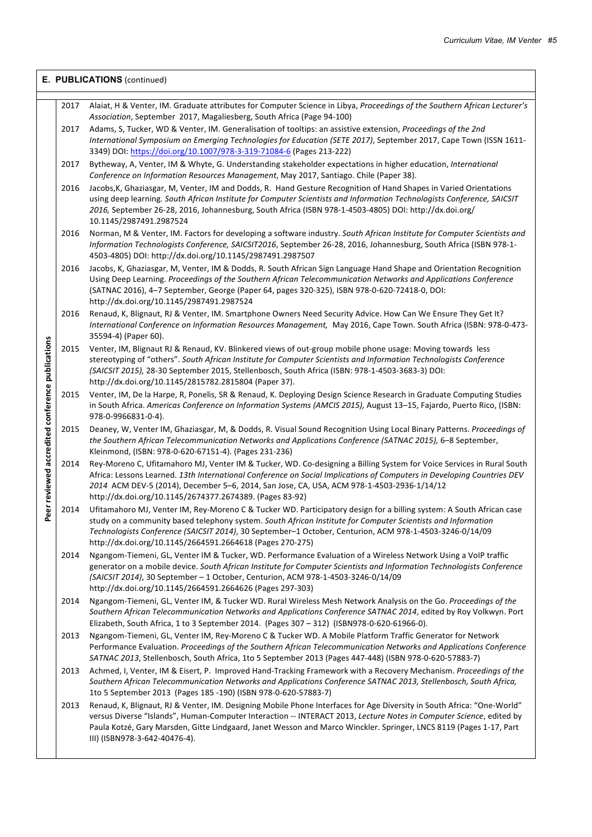|                                                     | E. PUBLICATIONS (continued) |                                                                                                                                                                                                                                                                                                                                                                                                              |  |  |  |
|-----------------------------------------------------|-----------------------------|--------------------------------------------------------------------------------------------------------------------------------------------------------------------------------------------------------------------------------------------------------------------------------------------------------------------------------------------------------------------------------------------------------------|--|--|--|
|                                                     | 2017                        | Alaiat, H & Venter, IM. Graduate attributes for Computer Science in Libya, Proceedings of the Southern African Lecturer's                                                                                                                                                                                                                                                                                    |  |  |  |
|                                                     | 2017                        | Association, September 2017, Magaliesberg, South Africa (Page 94-100)<br>Adams, S, Tucker, WD & Venter, IM. Generalisation of tooltips: an assistive extension, Proceedings of the 2nd<br>International Symposium on Emerging Technologies for Education (SETE 2017), September 2017, Cape Town (ISSN 1611-                                                                                                  |  |  |  |
|                                                     | 2017                        | 3349) DOI: https://doi.org/10.1007/978-3-319-71084-6 (Pages 213-222)<br>Bytheway, A, Venter, IM & Whyte, G. Understanding stakeholder expectations in higher education, International                                                                                                                                                                                                                        |  |  |  |
|                                                     |                             | Conference on Information Resources Management, May 2017, Santiago. Chile (Paper 38).                                                                                                                                                                                                                                                                                                                        |  |  |  |
| er reviewed accredited conference publications<br>ق | 2016                        | Jacobs, K, Ghaziasgar, M, Venter, IM and Dodds, R. Hand Gesture Recognition of Hand Shapes in Varied Orientations<br>using deep learning. South African Institute for Computer Scientists and Information Technologists Conference, SAICSIT<br>2016, September 26-28, 2016, Johannesburg, South Africa (ISBN 978-1-4503-4805) DOI: http://dx.doi.org/<br>10.1145/2987491.2987524                             |  |  |  |
|                                                     | 2016                        | Norman, M & Venter, IM. Factors for developing a software industry. South African Institute for Computer Scientists and<br>Information Technologists Conference, SAICSIT2016, September 26-28, 2016, Johannesburg, South Africa (ISBN 978-1-<br>4503-4805) DOI: http://dx.doi.org/10.1145/2987491.2987507                                                                                                    |  |  |  |
|                                                     | 2016                        | Jacobs, K, Ghaziasgar, M, Venter, IM & Dodds, R. South African Sign Language Hand Shape and Orientation Recognition<br>Using Deep Learning. Proceedings of the Southern African Telecommunication Networks and Applications Conference<br>(SATNAC 2016), 4-7 September, George (Paper 64, pages 320-325), ISBN 978-0-620-72418-0, DOI:<br>http://dx.doi.org/10.1145/2987491.2987524                          |  |  |  |
|                                                     | 2016                        | Renaud, K, Blignaut, RJ & Venter, IM. Smartphone Owners Need Security Advice. How Can We Ensure They Get It?<br>International Conference on Information Resources Management, May 2016, Cape Town. South Africa (ISBN: 978-0-473-<br>35594-4) (Paper 60).                                                                                                                                                    |  |  |  |
|                                                     | 2015                        | Venter, IM, Blignaut RJ & Renaud, KV. Blinkered views of out-group mobile phone usage: Moving towards less<br>stereotyping of "others". South African Institute for Computer Scientists and Information Technologists Conference<br>(SAICSIT 2015), 28-30 September 2015, Stellenbosch, South Africa (ISBN: 978-1-4503-3683-3) DOI:<br>http://dx.doi.org/10.1145/2815782.2815804 (Paper 37).                 |  |  |  |
|                                                     | 2015                        | Venter, IM, De la Harpe, R, Ponelis, SR & Renaud, K. Deploying Design Science Research in Graduate Computing Studies<br>in South Africa. Americas Conference on Information Systems (AMCIS 2015), August 13-15, Fajardo, Puerto Rico, (ISBN:<br>978-0-9966831-0-4).                                                                                                                                          |  |  |  |
|                                                     | 2015                        | Deaney, W, Venter IM, Ghaziasgar, M, & Dodds, R. Visual Sound Recognition Using Local Binary Patterns. Proceedings of<br>the Southern African Telecommunication Networks and Applications Conference (SATNAC 2015), 6-8 September,<br>Kleinmond, (ISBN: 978-0-620-67151-4). (Pages 231-236)                                                                                                                  |  |  |  |
|                                                     | 2014                        | Rey-Moreno C, Ufitamahoro MJ, Venter IM & Tucker, WD. Co-designing a Billing System for Voice Services in Rural South<br>Africa: Lessons Learned. 13th International Conference on Social Implications of Computers in Developing Countries DEV<br>2014 ACM DEV-5 (2014), December 5-6, 2014, San Jose, CA, USA, ACM 978-1-4503-2936-1/14/12<br>http://dx.doi.org/10.1145/2674377.2674389. (Pages 83-92)     |  |  |  |
|                                                     | 2014                        | Ufitamahoro MJ, Venter IM, Rey-Moreno C & Tucker WD. Participatory design for a billing system: A South African case<br>study on a community based telephony system. South African Institute for Computer Scientists and Information<br>Technologists Conference (SAICSIT 2014), 30 September-1 October, Centurion, ACM 978-1-4503-3246-0/14/09<br>http://dx.doi.org/10.1145/2664591.2664618 (Pages 270-275) |  |  |  |
|                                                     | 2014                        | Ngangom-Tiemeni, GL, Venter IM & Tucker, WD. Performance Evaluation of a Wireless Network Using a VoIP traffic<br>generator on a mobile device. South African Institute for Computer Scientists and Information Technologists Conference<br>(SAICSIT 2014), 30 September - 1 October, Centurion, ACM 978-1-4503-3246-0/14/09<br>http://dx.doi.org/10.1145/2664591.2664626 (Pages 297-303)                    |  |  |  |
|                                                     | 2014                        | Ngangom-Tiemeni, GL, Venter IM, & Tucker WD. Rural Wireless Mesh Network Analysis on the Go. Proceedings of the<br>Southern African Telecommunication Networks and Applications Conference SATNAC 2014, edited by Roy Volkwyn. Port<br>Elizabeth, South Africa, 1 to 3 September 2014. (Pages 307 - 312) (ISBN978-0-620-61966-0).                                                                            |  |  |  |
|                                                     | 2013                        | Ngangom-Tiemeni, GL, Venter IM, Rey-Moreno C & Tucker WD. A Mobile Platform Traffic Generator for Network<br>Performance Evaluation. Proceedings of the Southern African Telecommunication Networks and Applications Conference<br>SATNAC 2013, Stellenbosch, South Africa, 1to 5 September 2013 (Pages 447-448) (ISBN 978-0-620-57883-7)                                                                    |  |  |  |
|                                                     | 2013                        | Achmed, I, Venter, IM & Eisert, P. Improved Hand-Tracking Framework with a Recovery Mechanism. Proceedings of the<br>Southern African Telecommunication Networks and Applications Conference SATNAC 2013, Stellenbosch, South Africa,<br>1to 5 September 2013 (Pages 185 -190) (ISBN 978-0-620-57883-7)                                                                                                      |  |  |  |
|                                                     | 2013                        | Renaud, K, Blignaut, RJ & Venter, IM. Designing Mobile Phone Interfaces for Age Diversity in South Africa: "One-World"<br>versus Diverse "Islands", Human-Computer Interaction -- INTERACT 2013, Lecture Notes in Computer Science, edited by<br>Paula Kotzé, Gary Marsden, Gitte Lindgaard, Janet Wesson and Marco Winckler. Springer, LNCS 8119 (Pages 1-17, Part<br>III) (ISBN978-3-642-40476-4).         |  |  |  |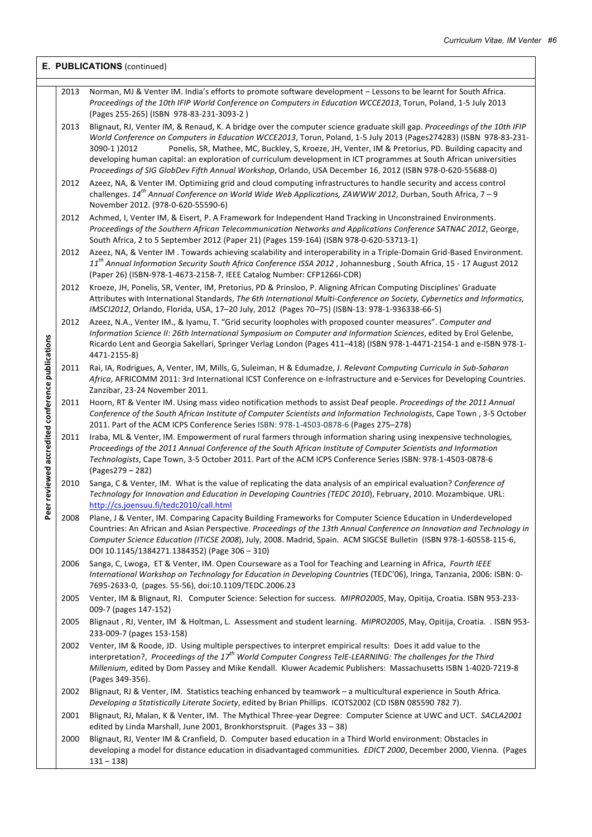|                                                  |      | E. PUBLICATIONS (continued)                                                                                                                                                                                                                                                                                                                                                                                                                                                                                                                                                                             |
|--------------------------------------------------|------|---------------------------------------------------------------------------------------------------------------------------------------------------------------------------------------------------------------------------------------------------------------------------------------------------------------------------------------------------------------------------------------------------------------------------------------------------------------------------------------------------------------------------------------------------------------------------------------------------------|
|                                                  | 2013 | Norman, MJ & Venter IM. India's efforts to promote software development - Lessons to be learnt for South Africa.<br>Proceedings of the 10th IFIP World Conference on Computers in Education WCCE2013, Torun, Poland, 1-5 July 2013<br>(Pages 255-265) (ISBN 978-83-231-3093-2)                                                                                                                                                                                                                                                                                                                          |
|                                                  | 2013 | Blignaut, RJ, Venter IM, & Renaud, K. A bridge over the computer science graduate skill gap. Proceedings of the 10th IFIP<br>World Conference on Computers in Education WCCE2013, Torun, Poland, 1-5 July 2013 (Pages274283) (ISBN 978-83-231-<br>3090-1 )2012<br>Ponelis, SR, Mathee, MC, Buckley, S, Kroeze, JH, Venter, IM & Pretorius, PD. Building capacity and<br>developing human capital: an exploration of curriculum development in ICT programmes at South African universities<br>Proceedings of SIG GlobDev Fifth Annual Workshop, Orlando, USA December 16, 2012 (ISBN 978-0-620-55688-0) |
|                                                  | 2012 | Azeez, NA, & Venter IM. Optimizing grid and cloud computing infrastructures to handle security and access control<br>challenges. 14 <sup>th</sup> Annual Conference on World Wide Web Applications, ZAWWW 2012, Durban, South Africa, 7 - 9<br>November 2012. (978-0-620-55590-6)                                                                                                                                                                                                                                                                                                                       |
|                                                  | 2012 | Achmed, I, Venter IM, & Eisert, P. A Framework for Independent Hand Tracking in Unconstrained Environments.<br>Proceedings of the Southern African Telecommunication Networks and Applications Conference SATNAC 2012, George,<br>South Africa, 2 to 5 September 2012 (Paper 21) (Pages 159-164) (ISBN 978-0-620-53713-1)                                                                                                                                                                                                                                                                               |
|                                                  | 2012 | Azeez, NA, & Venter IM. Towards achieving scalability and interoperability in a Triple-Domain Grid-Based Environment.<br>11 <sup>th</sup> Annual Information Security South Africa Conference ISSA 2012, Johannesburg, South Africa, 15 - 17 August 2012<br>(Paper 26) (ISBN-978-1-4673-2158-7, IEEE Catalog Number: CFP1266I-CDR)                                                                                                                                                                                                                                                                      |
|                                                  | 2012 | Kroeze, JH, Ponelis, SR, Venter, IM, Pretorius, PD & Prinsloo, P. Aligning African Computing Disciplines' Graduate<br>Attributes with International Standards, The 6th International Multi-Conference on Society, Cybernetics and Informatics,<br>IMSCI2012, Orlando, Florida, USA, 17-20 July, 2012 (Pages 70-75) (ISBN-13: 978-1-936338-66-5)                                                                                                                                                                                                                                                         |
|                                                  | 2012 | Azeez, N.A., Venter IM., & Iyamu, T. "Grid security loopholes with proposed counter measures". Computer and<br>Information Science II: 26th International Symposium on Computer and Information Sciences, edited by Erol Gelenbe,<br>Ricardo Lent and Georgia Sakellari, Springer Verlag London (Pages 411-418) (ISBN 978-1-4471-2154-1 and e-ISBN 978-1-<br>4471-2155-8)                                                                                                                                                                                                                               |
|                                                  | 2011 | Rai, IA, Rodrigues, A, Venter, IM, Mills, G, Suleiman, H & Edumadze, J. Relevant Computing Curricula in Sub-Saharan<br>Africa, AFRICOMM 2011: 3rd International ICST Conference on e-Infrastructure and e-Services for Developing Countries.<br>Zanzibar, 23-24 November 2011.                                                                                                                                                                                                                                                                                                                          |
|                                                  | 2011 | Hoorn, RT & Venter IM. Using mass video notification methods to assist Deaf people. Proceedings of the 2011 Annual<br>Conference of the South African Institute of Computer Scientists and Information Technologists, Cape Town, 3-5 October<br>2011. Part of the ACM ICPS Conference Series ISBN: 978-1-4503-0878-6 (Pages 275-278)                                                                                                                                                                                                                                                                    |
| Peer reviewed accredited conference publications | 2011 | Iraba, ML & Venter, IM. Empowerment of rural farmers through information sharing using inexpensive technologies,<br>Proceedings of the 2011 Annual Conference of the South African Institute of Computer Scientists and Information<br>Technologists, Cape Town, 3-5 October 2011. Part of the ACM ICPS Conference Series ISBN: 978-1-4503-0878-6<br>(Pages279 - 282)                                                                                                                                                                                                                                   |
|                                                  | 2010 | Sanga, C & Venter, IM. What is the value of replicating the data analysis of an empirical evaluation? Conference of<br>Technology for Innovation and Education in Developing Countries (TEDC 2010), February, 2010. Mozambique. URL:<br>http://cs.joensuu.fi/tedc2010/call.html                                                                                                                                                                                                                                                                                                                         |
|                                                  | 2008 | Plane, J & Venter, IM. Comparing Capacity Building Frameworks for Computer Science Education in Underdeveloped<br>Countries: An African and Asian Perspective. Proceedings of the 13th Annual Conference on Innovation and Technology in<br>Computer Science Education (ITiCSE 2008), July, 2008. Madrid, Spain. ACM SIGCSE Bulletin (ISBN 978-1-60558-115-6,<br>DOI 10.1145/1384271.1384352) (Page 306 - 310)                                                                                                                                                                                          |
|                                                  | 2006 | Sanga, C, Lwoga, ET & Venter, IM. Open Courseware as a Tool for Teaching and Learning in Africa, Fourth IEEE<br>International Workshop on Technology for Education in Developing Countries (TEDC'06), Iringa, Tanzania, 2006: ISBN: 0-<br>7695-2633-0, (pages. 55-56), doi:10.1109/TEDC.2006.23                                                                                                                                                                                                                                                                                                         |
|                                                  | 2005 | Venter, IM & Blignaut, RJ. Computer Science: Selection for success. MIPRO2005, May, Opitija, Croatia. ISBN 953-233-<br>009-7 (pages 147-152)                                                                                                                                                                                                                                                                                                                                                                                                                                                            |
|                                                  | 2005 | Blignaut, RJ, Venter, IM & Holtman, L. Assessment and student learning. MIPRO2005, May, Opitija, Croatia. . ISBN 953-<br>233-009-7 (pages 153-158)                                                                                                                                                                                                                                                                                                                                                                                                                                                      |
|                                                  | 2002 | Venter, IM & Roode, JD. Using multiple perspectives to interpret empirical results: Does it add value to the<br>interpretation?, Proceedings of the 17 <sup>th</sup> World Computer Congress TelE-LEARNING: The challenges for the Third<br>Millenium, edited by Dom Passey and Mike Kendall. Kluwer Academic Publishers: Massachusetts ISBN 1-4020-7219-8<br>(Pages 349-356).                                                                                                                                                                                                                          |
|                                                  | 2002 | Blignaut, RJ & Venter, IM. Statistics teaching enhanced by teamwork - a multicultural experience in South Africa.<br>Developing a Statistically Literate Society, edited by Brian Phillips. ICOTS2002 (CD ISBN 085590 782 7).                                                                                                                                                                                                                                                                                                                                                                           |
|                                                  | 2001 | Blignaut, RJ, Malan, K & Venter, IM. The Mythical Three-year Degree: Computer Science at UWC and UCT. SACLA2001<br>edited by Linda Marshall, June 2001, Bronkhorstspruit. (Pages 33 - 38)                                                                                                                                                                                                                                                                                                                                                                                                               |
|                                                  | 2000 | Blignaut, RJ, Venter IM & Cranfield, D. Computer based education in a Third World environment: Obstacles in<br>developing a model for distance education in disadvantaged communities. EDICT 2000, December 2000, Vienna. (Pages<br>$131 - 138$                                                                                                                                                                                                                                                                                                                                                         |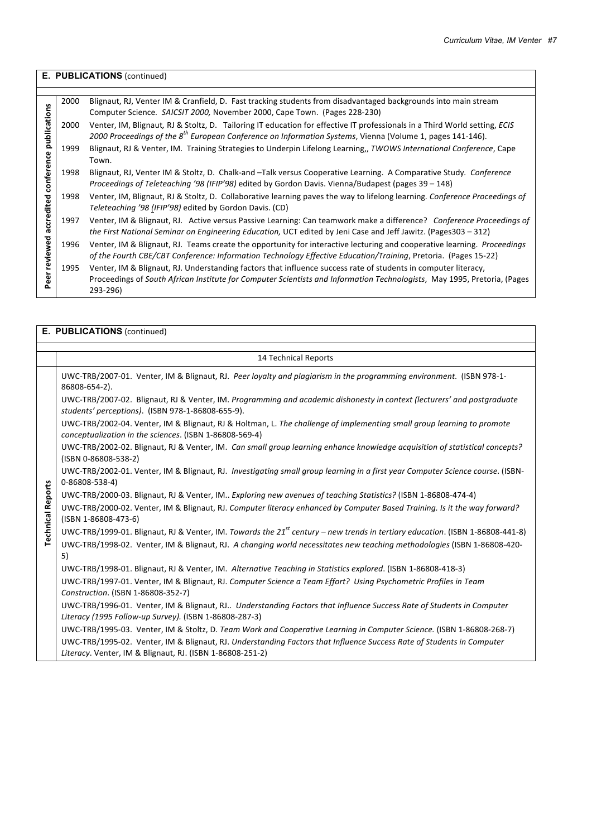|              | E. PUBLICATIONS (continued) |                                                                                                                                                                                                                                                        |  |  |  |
|--------------|-----------------------------|--------------------------------------------------------------------------------------------------------------------------------------------------------------------------------------------------------------------------------------------------------|--|--|--|
|              |                             |                                                                                                                                                                                                                                                        |  |  |  |
| publications | 2000                        | Blignaut, RJ, Venter IM & Cranfield, D. Fast tracking students from disadvantaged backgrounds into main stream<br>Computer Science. SAICSIT 2000, November 2000, Cape Town. (Pages 228-230)                                                            |  |  |  |
|              | 2000                        | Venter, IM, Blignaut, RJ & Stoltz, D. Tailoring IT education for effective IT professionals in a Third World setting, ECIS<br>2000 Proceedings of the 8 <sup>th</sup> European Conference on Information Systems, Vienna (Volume 1, pages 141-146).    |  |  |  |
|              | 1999                        | Blignaut, RJ & Venter, IM. Training Strategies to Underpin Lifelong Learning,, TWOWS International Conference, Cape<br>Town.                                                                                                                           |  |  |  |
| conference   | 1998                        | Blignaut, RJ, Venter IM & Stoltz, D. Chalk-and -Talk versus Cooperative Learning. A Comparative Study. Conference<br>Proceedings of Teleteaching '98 (IFIP'98) edited by Gordon Davis. Vienna/Budapest (pages 39 – 148)                                |  |  |  |
|              | 1998                        | Venter, IM, Blignaut, RJ & Stoltz, D. Collaborative learning paves the way to lifelong learning. Conference Proceedings of<br>Teleteaching '98 (IFIP'98) edited by Gordon Davis. (CD)                                                                  |  |  |  |
| accredited   | 1997                        | Venter, IM & Blignaut, RJ. Active versus Passive Learning: Can teamwork make a difference? Conference Proceedings of<br>the First National Seminar on Engineering Education, UCT edited by Jeni Case and Jeff Jawitz. (Pages303 – 312)                 |  |  |  |
| reviewed     | 1996                        | Venter, IM & Blignaut, RJ. Teams create the opportunity for interactive lecturing and cooperative learning. Proceedings<br>of the Fourth CBE/CBT Conference: Information Technology Effective Education/Training, Pretoria. (Pages 15-22)              |  |  |  |
| eer          | 1995                        | Venter, IM & Blignaut, RJ. Understanding factors that influence success rate of students in computer literacy,<br>Proceedings of South African Institute for Computer Scientists and Information Technologists, May 1995, Pretoria, (Pages<br>293-296) |  |  |  |

|                          | E. PUBLICATIONS (continued)                                                                                                                                                        |
|--------------------------|------------------------------------------------------------------------------------------------------------------------------------------------------------------------------------|
|                          |                                                                                                                                                                                    |
|                          | <b>14 Technical Reports</b>                                                                                                                                                        |
|                          | UWC-TRB/2007-01. Venter, IM & Blignaut, RJ. Peer loyalty and plagiarism in the programming environment. (ISBN 978-1-<br>86808-654-2).                                              |
|                          | UWC-TRB/2007-02. Blignaut, RJ & Venter, IM. Programming and academic dishonesty in context (lecturers' and postgraduate<br>students' perceptions). (ISBN 978-1-86808-655-9).       |
|                          | UWC-TRB/2002-04. Venter, IM & Blignaut, RJ & Holtman, L. The challenge of implementing small group learning to promote<br>conceptualization in the sciences. (ISBN 1-86808-569-4)  |
|                          | UWC-TRB/2002-02. Blignaut, RJ & Venter, IM. Can small group learning enhance knowledge acquisition of statistical concepts?<br>(ISBN 0-86808-538-2)                                |
|                          | UWC-TRB/2002-01. Venter, IM & Blignaut, RJ. Investigating small group learning in a first year Computer Science course. (ISBN-<br>$0 - 86808 - 538 - 4$                            |
|                          | UWC-TRB/2000-03. Blignaut, RJ & Venter, IM Exploring new avenues of teaching Statistics? (ISBN 1-86808-474-4)                                                                      |
| <b>Technical Reports</b> | UWC-TRB/2000-02. Venter, IM & Blignaut, RJ. Computer literacy enhanced by Computer Based Training. Is it the way forward?<br>(ISBN 1-86808-473-6)                                  |
|                          | UWC-TRB/1999-01. Blignaut, RJ & Venter, IM. Towards the 21 <sup>st</sup> century - new trends in tertiary education. (ISBN 1-86808-441-8)                                          |
|                          | UWC-TRB/1998-02. Venter, IM & Blignaut, RJ. A changing world necessitates new teaching methodologies (ISBN 1-86808-420-                                                            |
|                          | 5)                                                                                                                                                                                 |
|                          | UWC-TRB/1998-01. Blignaut, RJ & Venter, IM. Alternative Teaching in Statistics explored. (ISBN 1-86808-418-3)                                                                      |
|                          | UWC-TRB/1997-01. Venter, IM & Blignaut, RJ. Computer Science a Team Effort? Using Psychometric Profiles in Team<br>Construction. (ISBN 1-86808-352-7)                              |
|                          | UWC-TRB/1996-01. Venter, IM & Blignaut, RJ Understanding Factors that Influence Success Rate of Students in Computer                                                               |
|                          | Literacy (1995 Follow-up Survey). (ISBN 1-86808-287-3)                                                                                                                             |
|                          | UWC-TRB/1995-03. Venter, IM & Stoltz, D. Team Work and Cooperative Learning in Computer Science. (ISBN 1-86808-268-7)                                                              |
|                          | UWC-TRB/1995-02. Venter, IM & Blignaut, RJ. Understanding Factors that Influence Success Rate of Students in Computer<br>Literacy. Venter, IM & Blignaut, RJ. (ISBN 1-86808-251-2) |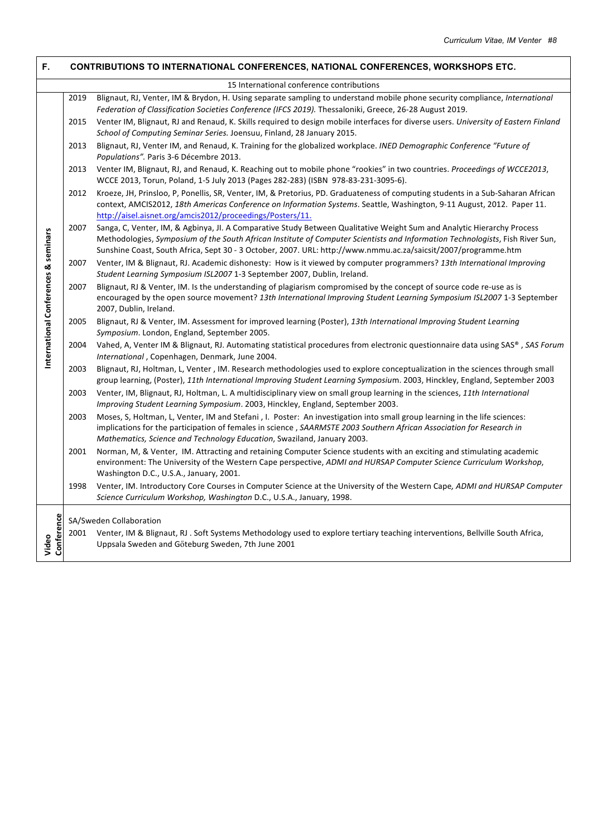| Е.                                   | <b>CONTRIBUTIONS TO INTERNATIONAL CONFERENCES, NATIONAL CONFERENCES, WORKSHOPS ETC.</b> |                                                                                                                                                                                                                                                                                                                                                                           |  |  |  |
|--------------------------------------|-----------------------------------------------------------------------------------------|---------------------------------------------------------------------------------------------------------------------------------------------------------------------------------------------------------------------------------------------------------------------------------------------------------------------------------------------------------------------------|--|--|--|
|                                      |                                                                                         | 15 International conference contributions                                                                                                                                                                                                                                                                                                                                 |  |  |  |
|                                      | 2019                                                                                    | Blignaut, RJ, Venter, IM & Brydon, H. Using separate sampling to understand mobile phone security compliance, International<br>Federation of Classification Societies Conference (IFCS 2019). Thessaloniki, Greece, 26-28 August 2019.                                                                                                                                    |  |  |  |
|                                      | 2015                                                                                    | Venter IM, Blignaut, RJ and Renaud, K. Skills required to design mobile interfaces for diverse users. University of Eastern Finland<br>School of Computing Seminar Series. Joensuu, Finland, 28 January 2015.                                                                                                                                                             |  |  |  |
|                                      | 2013                                                                                    | Blignaut, RJ, Venter IM, and Renaud, K. Training for the globalized workplace. INED Demographic Conference "Future of<br>Populations". Paris 3-6 Décembre 2013.                                                                                                                                                                                                           |  |  |  |
|                                      | 2013                                                                                    | Venter IM, Blignaut, RJ, and Renaud, K. Reaching out to mobile phone "rookies" in two countries. Proceedings of WCCE2013,<br>WCCE 2013, Torun, Poland, 1-5 July 2013 (Pages 282-283) (ISBN 978-83-231-3095-6).                                                                                                                                                            |  |  |  |
|                                      | 2012                                                                                    | Kroeze, JH, Prinsloo, P, Ponellis, SR, Venter, IM, & Pretorius, PD. Graduateness of computing students in a Sub-Saharan African<br>context, AMCIS2012, 18th Americas Conference on Information Systems. Seattle, Washington, 9-11 August, 2012. Paper 11.<br>http://aisel.aisnet.org/amcis2012/proceedings/Posters/11.                                                    |  |  |  |
|                                      | 2007                                                                                    | Sanga, C, Venter, IM, & Agbinya, JI. A Comparative Study Between Qualitative Weight Sum and Analytic Hierarchy Process<br>Methodologies, Symposium of the South African Institute of Computer Scientists and Information Technologists, Fish River Sun,<br>Sunshine Coast, South Africa, Sept 30 - 3 October, 2007. URL: http://www.nmmu.ac.za/saicsit/2007/programme.htm |  |  |  |
|                                      | 2007                                                                                    | Venter, IM & Blignaut, RJ. Academic dishonesty: How is it viewed by computer programmers? 13th International Improving<br>Student Learning Symposium ISL2007 1-3 September 2007, Dublin, Ireland.                                                                                                                                                                         |  |  |  |
| International Conferences & seminars | 2007                                                                                    | Blignaut, RJ & Venter, IM. Is the understanding of plagiarism compromised by the concept of source code re-use as is<br>encouraged by the open source movement? 13th International Improving Student Learning Symposium ISL2007 1-3 September<br>2007, Dublin, Ireland.                                                                                                   |  |  |  |
|                                      | 2005                                                                                    | Blignaut, RJ & Venter, IM. Assessment for improved learning (Poster), 13th International Improving Student Learning<br>Symposium. London, England, September 2005.                                                                                                                                                                                                        |  |  |  |
|                                      | 2004                                                                                    | Vahed, A, Venter IM & Blignaut, RJ. Automating statistical procedures from electronic questionnaire data using SAS®, SAS Forum<br>International, Copenhagen, Denmark, June 2004.                                                                                                                                                                                          |  |  |  |
|                                      | 2003                                                                                    | Blignaut, RJ, Holtman, L, Venter, IM. Research methodologies used to explore conceptualization in the sciences through small<br>group learning, (Poster), 11th International Improving Student Learning Symposium. 2003, Hinckley, England, September 2003                                                                                                                |  |  |  |
|                                      | 2003                                                                                    | Venter, IM, Blignaut, RJ, Holtman, L. A multidisciplinary view on small group learning in the sciences, 11th International<br>Improving Student Learning Symposium. 2003, Hinckley, England, September 2003.                                                                                                                                                              |  |  |  |
|                                      | 2003                                                                                    | Moses, S, Holtman, L, Venter, IM and Stefani, I. Poster: An investigation into small group learning in the life sciences:<br>implications for the participation of females in science, SAARMSTE 2003 Southern African Association for Research in<br>Mathematics, Science and Technology Education, Swaziland, January 2003.                                              |  |  |  |
|                                      | 2001                                                                                    | Norman, M, & Venter, IM. Attracting and retaining Computer Science students with an exciting and stimulating academic<br>environment: The University of the Western Cape perspective, ADMI and HURSAP Computer Science Curriculum Workshop,<br>Washington D.C., U.S.A., January, 2001.                                                                                    |  |  |  |
|                                      | 1998                                                                                    | Venter, IM. Introductory Core Courses in Computer Science at the University of the Western Cape, ADMI and HURSAP Computer<br>Science Curriculum Workshop, Washington D.C., U.S.A., January, 1998.                                                                                                                                                                         |  |  |  |
|                                      |                                                                                         | SA/Sweden Collaboration                                                                                                                                                                                                                                                                                                                                                   |  |  |  |
| Conference<br>Video                  |                                                                                         | 2001 Venter, IM & Blignaut, RJ. Soft Systems Methodology used to explore tertiary teaching interventions, Bellville South Africa,<br>Uppsala Sweden and Göteburg Sweden, 7th June 2001                                                                                                                                                                                    |  |  |  |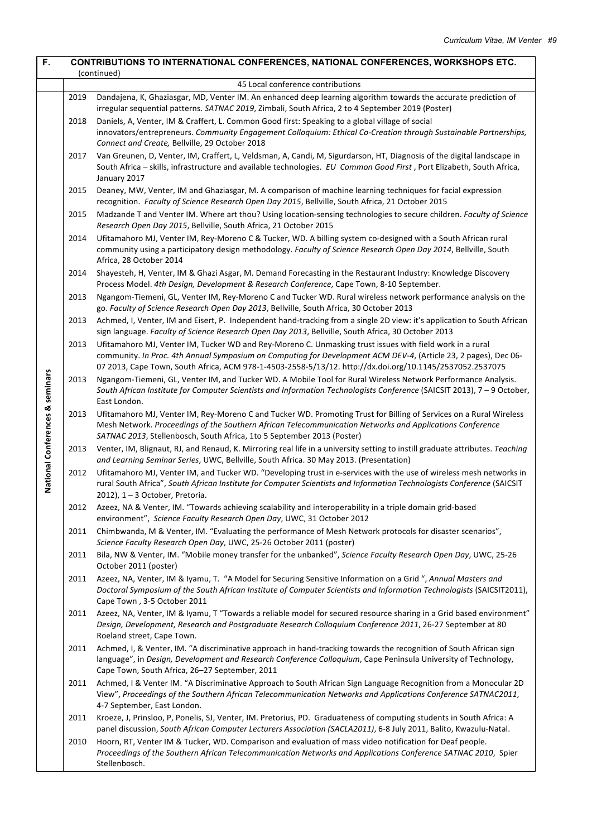| $\overline{F}$ .                | CONTRIBUTIONS TO INTERNATIONAL CONFERENCES, NATIONAL CONFERENCES, WORKSHOPS ETC.<br>(continued) |                                                                                                                                                                                                                                                                                                                                         |  |  |  |  |
|---------------------------------|-------------------------------------------------------------------------------------------------|-----------------------------------------------------------------------------------------------------------------------------------------------------------------------------------------------------------------------------------------------------------------------------------------------------------------------------------------|--|--|--|--|
|                                 | 45 Local conference contributions                                                               |                                                                                                                                                                                                                                                                                                                                         |  |  |  |  |
|                                 | 2019                                                                                            | Dandajena, K, Ghaziasgar, MD, Venter IM. An enhanced deep learning algorithm towards the accurate prediction of<br>irregular sequential patterns. SATNAC 2019, Zimbali, South Africa, 2 to 4 September 2019 (Poster)                                                                                                                    |  |  |  |  |
|                                 | 2018                                                                                            | Daniels, A, Venter, IM & Craffert, L. Common Good first: Speaking to a global village of social<br>innovators/entrepreneurs. Community Engagement Colloquium: Ethical Co-Creation through Sustainable Partnerships,<br>Connect and Create, Bellville, 29 October 2018                                                                   |  |  |  |  |
|                                 | 2017                                                                                            | Van Greunen, D, Venter, IM, Craffert, L, Veldsman, A, Candi, M, Sigurdarson, HT, Diagnosis of the digital landscape in<br>South Africa - skills, infrastructure and available technologies. EU Common Good First, Port Elizabeth, South Africa,<br>January 2017                                                                         |  |  |  |  |
|                                 | 2015                                                                                            | Deaney, MW, Venter, IM and Ghaziasgar, M. A comparison of machine learning techniques for facial expression<br>recognition. Faculty of Science Research Open Day 2015, Bellville, South Africa, 21 October 2015                                                                                                                         |  |  |  |  |
|                                 | 2015                                                                                            | Madzande T and Venter IM. Where art thou? Using location-sensing technologies to secure children. Faculty of Science<br>Research Open Day 2015, Bellville, South Africa, 21 October 2015                                                                                                                                                |  |  |  |  |
|                                 | 2014                                                                                            | Ufitamahoro MJ, Venter IM, Rey-Moreno C & Tucker, WD. A billing system co-designed with a South African rural<br>community using a participatory design methodology. Faculty of Science Research Open Day 2014, Bellville, South<br>Africa, 28 October 2014                                                                             |  |  |  |  |
|                                 | 2014                                                                                            | Shayesteh, H, Venter, IM & Ghazi Asgar, M. Demand Forecasting in the Restaurant Industry: Knowledge Discovery<br>Process Model. 4th Design, Development & Research Conference, Cape Town, 8-10 September.                                                                                                                               |  |  |  |  |
|                                 | 2013                                                                                            | Ngangom-Tiemeni, GL, Venter IM, Rey-Moreno C and Tucker WD. Rural wireless network performance analysis on the<br>go. Faculty of Science Research Open Day 2013, Bellville, South Africa, 30 October 2013                                                                                                                               |  |  |  |  |
|                                 | 2013                                                                                            | Achmed, I, Venter, IM and Eisert, P. Independent hand-tracking from a single 2D view: it's application to South African<br>sign language. Faculty of Science Research Open Day 2013, Bellville, South Africa, 30 October 2013                                                                                                           |  |  |  |  |
|                                 | 2013                                                                                            | Ufitamahoro MJ, Venter IM, Tucker WD and Rey-Moreno C. Unmasking trust issues with field work in a rural<br>community. In Proc. 4th Annual Symposium on Computing for Development ACM DEV-4, (Article 23, 2 pages), Dec 06-<br>07 2013, Cape Town, South Africa, ACM 978-1-4503-2558-5/13/12. http://dx.doi.org/10.1145/2537052.2537075 |  |  |  |  |
| National Conferences & seminars | 2013                                                                                            | Ngangom-Tiemeni, GL, Venter IM, and Tucker WD. A Mobile Tool for Rural Wireless Network Performance Analysis.<br>South African Institute for Computer Scientists and Information Technologists Conference (SAICSIT 2013), 7 - 9 October,<br>East London.                                                                                |  |  |  |  |
|                                 | 2013                                                                                            | Ufitamahoro MJ, Venter IM, Rey-Moreno C and Tucker WD. Promoting Trust for Billing of Services on a Rural Wireless<br>Mesh Network. Proceedings of the Southern African Telecommunication Networks and Applications Conference<br>SATNAC 2013, Stellenbosch, South Africa, 1to 5 September 2013 (Poster)                                |  |  |  |  |
|                                 | 2013                                                                                            | Venter, IM, Blignaut, RJ, and Renaud, K. Mirroring real life in a university setting to instill graduate attributes. Teaching<br>and Learning Seminar Series, UWC, Bellville, South Africa. 30 May 2013. (Presentation)                                                                                                                 |  |  |  |  |
|                                 | 2012                                                                                            | Ufitamahoro MJ, Venter IM, and Tucker WD. "Developing trust in e-services with the use of wireless mesh networks in<br>rural South Africa", South African Institute for Computer Scientists and Information Technologists Conference (SAICSIT<br>$2012$ ), $1 - 3$ October, Pretoria.                                                   |  |  |  |  |
|                                 | 2012                                                                                            | Azeez, NA & Venter, IM. "Towards achieving scalability and interoperability in a triple domain grid-based<br>environment", Science Faculty Research Open Day, UWC, 31 October 2012                                                                                                                                                      |  |  |  |  |
|                                 | 2011                                                                                            | Chimbwanda, M & Venter, IM. "Evaluating the performance of Mesh Network protocols for disaster scenarios",<br>Science Faculty Research Open Day, UWC, 25-26 October 2011 (poster)                                                                                                                                                       |  |  |  |  |
|                                 | 2011                                                                                            | Bila, NW & Venter, IM. "Mobile money transfer for the unbanked", Science Faculty Research Open Day, UWC, 25-26<br>October 2011 (poster)                                                                                                                                                                                                 |  |  |  |  |
|                                 | 2011                                                                                            | Azeez, NA, Venter, IM & Iyamu, T. "A Model for Securing Sensitive Information on a Grid", Annual Masters and<br>Doctoral Symposium of the South African Institute of Computer Scientists and Information Technologists (SAICSIT2011),<br>Cape Town, 3-5 October 2011                                                                    |  |  |  |  |
|                                 | 2011                                                                                            | Azeez, NA, Venter, IM & Iyamu, T "Towards a reliable model for secured resource sharing in a Grid based environment"<br>Design, Development, Research and Postgraduate Research Colloquium Conference 2011, 26-27 September at 80<br>Roeland street, Cape Town.                                                                         |  |  |  |  |
|                                 | 2011                                                                                            | Achmed, I, & Venter, IM. "A discriminative approach in hand-tracking towards the recognition of South African sign<br>language", in Design, Development and Research Conference Colloquium, Cape Peninsula University of Technology,<br>Cape Town, South Africa, 26-27 September, 2011                                                  |  |  |  |  |
|                                 | 2011                                                                                            | Achmed, I & Venter IM. "A Discriminative Approach to South African Sign Language Recognition from a Monocular 2D<br>View", Proceedings of the Southern African Telecommunication Networks and Applications Conference SATNAC2011,<br>4-7 September, East London.                                                                        |  |  |  |  |
|                                 | 2011                                                                                            | Kroeze, J, Prinsloo, P, Ponelis, SJ, Venter, IM. Pretorius, PD. Graduateness of computing students in South Africa: A<br>panel discussion, South African Computer Lecturers Association (SACLA2011), 6-8 July 2011, Balito, Kwazulu-Natal.                                                                                              |  |  |  |  |
|                                 | 2010                                                                                            | Hoorn, RT, Venter IM & Tucker, WD. Comparison and evaluation of mass video notification for Deaf people.<br>Proceedings of the Southern African Telecommunication Networks and Applications Conference SATNAC 2010, Spier<br>Stellenbosch.                                                                                              |  |  |  |  |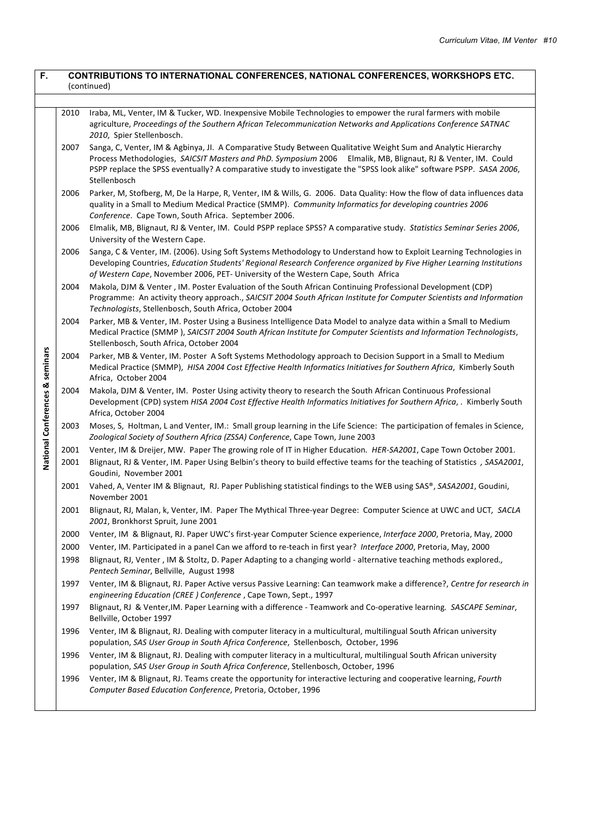| F.                                |      | <b>CONTRIBUTIONS TO INTERNATIONAL CONFERENCES, NATIONAL CONFERENCES, WORKSHOPS ETC.</b><br>(continued)                                                                                                                                                                                                                                                                |
|-----------------------------------|------|-----------------------------------------------------------------------------------------------------------------------------------------------------------------------------------------------------------------------------------------------------------------------------------------------------------------------------------------------------------------------|
|                                   |      |                                                                                                                                                                                                                                                                                                                                                                       |
|                                   | 2010 | Iraba, ML, Venter, IM & Tucker, WD. Inexpensive Mobile Technologies to empower the rural farmers with mobile<br>agriculture, Proceedings of the Southern African Telecommunication Networks and Applications Conference SATNAC<br>2010, Spier Stellenbosch.                                                                                                           |
|                                   | 2007 | Sanga, C, Venter, IM & Agbinya, Jl. A Comparative Study Between Qualitative Weight Sum and Analytic Hierarchy<br>Process Methodologies, SAICSIT Masters and PhD. Symposium 2006 Elmalik, MB, Blignaut, RJ & Venter, IM. Could<br>PSPP replace the SPSS eventually? A comparative study to investigate the "SPSS look alike" software PSPP. SASA 2006,<br>Stellenbosch |
|                                   | 2006 | Parker, M, Stofberg, M, De la Harpe, R, Venter, IM & Wills, G. 2006. Data Quality: How the flow of data influences data<br>quality in a Small to Medium Medical Practice (SMMP). Community Informatics for developing countries 2006<br>Conference. Cape Town, South Africa. September 2006.                                                                          |
|                                   | 2006 | Elmalik, MB, Blignaut, RJ & Venter, IM. Could PSPP replace SPSS? A comparative study. Statistics Seminar Series 2006,<br>University of the Western Cape.                                                                                                                                                                                                              |
|                                   | 2006 | Sanga, C & Venter, IM. (2006). Using Soft Systems Methodology to Understand how to Exploit Learning Technologies in<br>Developing Countries, Education Students' Regional Research Conference organized by Five Higher Learning Institutions<br>of Western Cape, November 2006, PET- University of the Western Cape, South Africa                                     |
|                                   | 2004 | Makola, DJM & Venter, IM. Poster Evaluation of the South African Continuing Professional Development (CDP)<br>Programme: An activity theory approach., SAICSIT 2004 South African Institute for Computer Scientists and Information<br>Technologists, Stellenbosch, South Africa, October 2004                                                                        |
|                                   | 2004 | Parker, MB & Venter, IM. Poster Using a Business Intelligence Data Model to analyze data within a Small to Medium<br>Medical Practice (SMMP), SAICSIT 2004 South African Institute for Computer Scientists and Information Technologists,<br>Stellenbosch, South Africa, October 2004                                                                                 |
| seminars                          | 2004 | Parker, MB & Venter, IM. Poster A Soft Systems Methodology approach to Decision Support in a Small to Medium<br>Medical Practice (SMMP), HISA 2004 Cost Effective Health Informatics Initiatives for Southern Africa, Kimberly South<br>Africa, October 2004                                                                                                          |
| <b>National Conferences &amp;</b> | 2004 | Makola, DJM & Venter, IM. Poster Using activity theory to research the South African Continuous Professional<br>Development (CPD) system HISA 2004 Cost Effective Health Informatics Initiatives for Southern Africa, . Kimberly South<br>Africa, October 2004                                                                                                        |
|                                   | 2003 | Moses, S, Holtman, L and Venter, IM.: Small group learning in the Life Science: The participation of females in Science,<br>Zoological Society of Southern Africa (ZSSA) Conference, Cape Town, June 2003                                                                                                                                                             |
|                                   | 2001 | Venter, IM & Dreijer, MW. Paper The growing role of IT in Higher Education. HER-SA2001, Cape Town October 2001.                                                                                                                                                                                                                                                       |
|                                   | 2001 | Blignaut, RJ & Venter, IM. Paper Using Belbin's theory to build effective teams for the teaching of Statistics, SASA2001,<br>Goudini, November 2001                                                                                                                                                                                                                   |
|                                   | 2001 | Vahed, A, Venter IM & Blignaut, RJ. Paper Publishing statistical findings to the WEB using SAS®, SASA2001, Goudini,<br>November 2001                                                                                                                                                                                                                                  |
|                                   | 2001 | Blignaut, RJ, Malan, k, Venter, IM. Paper The Mythical Three-year Degree: Computer Science at UWC and UCT, SACLA<br>2001, Bronkhorst Spruit, June 2001                                                                                                                                                                                                                |
|                                   | 2000 | Venter, IM & Blignaut, RJ. Paper UWC's first-year Computer Science experience, Interface 2000, Pretoria, May, 2000                                                                                                                                                                                                                                                    |
|                                   | 2000 | Venter, IM. Participated in a panel Can we afford to re-teach in first year? Interface 2000, Pretoria, May, 2000                                                                                                                                                                                                                                                      |
|                                   | 1998 | Blignaut, RJ, Venter, IM & Stoltz, D. Paper Adapting to a changing world - alternative teaching methods explored.,<br>Pentech Seminar, Bellville, August 1998                                                                                                                                                                                                         |
|                                   | 1997 | Venter, IM & Blignaut, RJ. Paper Active versus Passive Learning: Can teamwork make a difference?, Centre for research in<br>engineering Education (CREE) Conference, Cape Town, Sept., 1997                                                                                                                                                                           |
|                                   | 1997 | Blignaut, RJ & Venter, IM. Paper Learning with a difference - Teamwork and Co-operative learning. SASCAPE Seminar,<br>Bellville, October 1997                                                                                                                                                                                                                         |
|                                   | 1996 | Venter, IM & Blignaut, RJ. Dealing with computer literacy in a multicultural, multilingual South African university<br>population, SAS User Group in South Africa Conference, Stellenbosch, October, 1996                                                                                                                                                             |
|                                   | 1996 | Venter, IM & Blignaut, RJ. Dealing with computer literacy in a multicultural, multilingual South African university<br>population, SAS User Group in South Africa Conference, Stellenbosch, October, 1996                                                                                                                                                             |
|                                   | 1996 | Venter, IM & Blignaut, RJ. Teams create the opportunity for interactive lecturing and cooperative learning, Fourth<br>Computer Based Education Conference, Pretoria, October, 1996                                                                                                                                                                                    |
|                                   |      |                                                                                                                                                                                                                                                                                                                                                                       |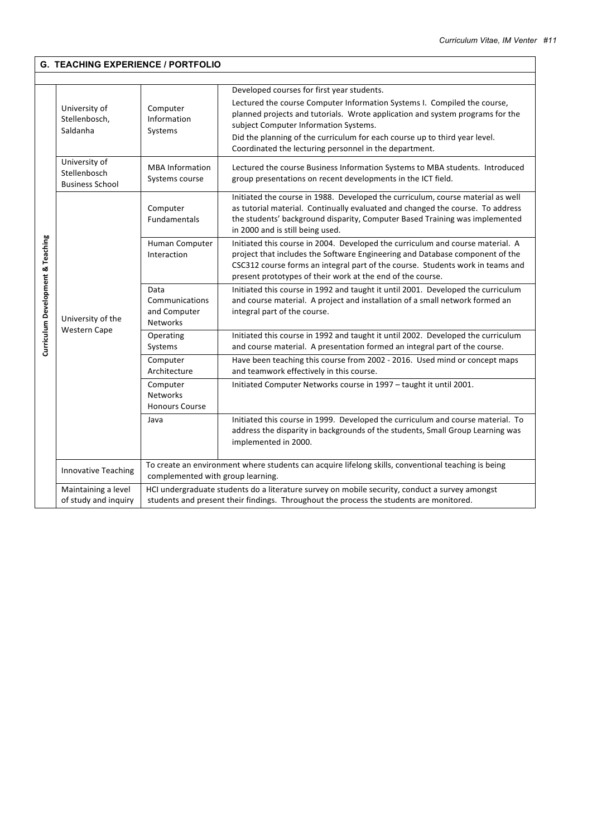|                                   | <b>G. TEACHING EXPERIENCE / PORTFOLIO</b>                                                                                                                                                                                                |                                                           |                                                                                                                                                                                                                                                                                                                                                                                          |  |  |  |
|-----------------------------------|------------------------------------------------------------------------------------------------------------------------------------------------------------------------------------------------------------------------------------------|-----------------------------------------------------------|------------------------------------------------------------------------------------------------------------------------------------------------------------------------------------------------------------------------------------------------------------------------------------------------------------------------------------------------------------------------------------------|--|--|--|
|                                   |                                                                                                                                                                                                                                          |                                                           |                                                                                                                                                                                                                                                                                                                                                                                          |  |  |  |
| Curriculum Development & Teaching | University of<br>Stellenbosch,<br>Saldanha                                                                                                                                                                                               | Computer<br>Information<br>Systems                        | Developed courses for first year students.<br>Lectured the course Computer Information Systems I. Compiled the course,<br>planned projects and tutorials. Wrote application and system programs for the<br>subject Computer Information Systems.<br>Did the planning of the curriculum for each course up to third year level.<br>Coordinated the lecturing personnel in the department. |  |  |  |
|                                   | University of<br>Stellenbosch<br><b>Business School</b>                                                                                                                                                                                  | <b>MBA</b> Information<br>Systems course                  | Lectured the course Business Information Systems to MBA students. Introduced<br>group presentations on recent developments in the ICT field.                                                                                                                                                                                                                                             |  |  |  |
|                                   |                                                                                                                                                                                                                                          | Computer<br><b>Fundamentals</b>                           | Initiated the course in 1988. Developed the curriculum, course material as well<br>as tutorial material. Continually evaluated and changed the course. To address<br>the students' background disparity, Computer Based Training was implemented<br>in 2000 and is still being used.                                                                                                     |  |  |  |
|                                   | University of the<br><b>Western Cape</b>                                                                                                                                                                                                 | Human Computer<br>Interaction                             | Initiated this course in 2004. Developed the curriculum and course material. A<br>project that includes the Software Engineering and Database component of the<br>CSC312 course forms an integral part of the course. Students work in teams and<br>present prototypes of their work at the end of the course.                                                                           |  |  |  |
|                                   |                                                                                                                                                                                                                                          | Data<br>Communications<br>and Computer<br><b>Networks</b> | Initiated this course in 1992 and taught it until 2001. Developed the curriculum<br>and course material. A project and installation of a small network formed an<br>integral part of the course.                                                                                                                                                                                         |  |  |  |
|                                   |                                                                                                                                                                                                                                          | Operating<br>Systems                                      | Initiated this course in 1992 and taught it until 2002. Developed the curriculum<br>and course material. A presentation formed an integral part of the course.                                                                                                                                                                                                                           |  |  |  |
|                                   |                                                                                                                                                                                                                                          | Computer<br>Architecture                                  | Have been teaching this course from 2002 - 2016. Used mind or concept maps<br>and teamwork effectively in this course.                                                                                                                                                                                                                                                                   |  |  |  |
|                                   |                                                                                                                                                                                                                                          | Computer<br><b>Networks</b><br><b>Honours Course</b>      | Initiated Computer Networks course in 1997 - taught it until 2001.                                                                                                                                                                                                                                                                                                                       |  |  |  |
|                                   |                                                                                                                                                                                                                                          | Java                                                      | Initiated this course in 1999. Developed the curriculum and course material. To<br>address the disparity in backgrounds of the students, Small Group Learning was<br>implemented in 2000.                                                                                                                                                                                                |  |  |  |
|                                   | <b>Innovative Teaching</b>                                                                                                                                                                                                               | complemented with group learning.                         | To create an environment where students can acquire lifelong skills, conventional teaching is being                                                                                                                                                                                                                                                                                      |  |  |  |
|                                   | HCl undergraduate students do a literature survey on mobile security, conduct a survey amongst<br>Maintaining a level<br>of study and inquiry<br>students and present their findings. Throughout the process the students are monitored. |                                                           |                                                                                                                                                                                                                                                                                                                                                                                          |  |  |  |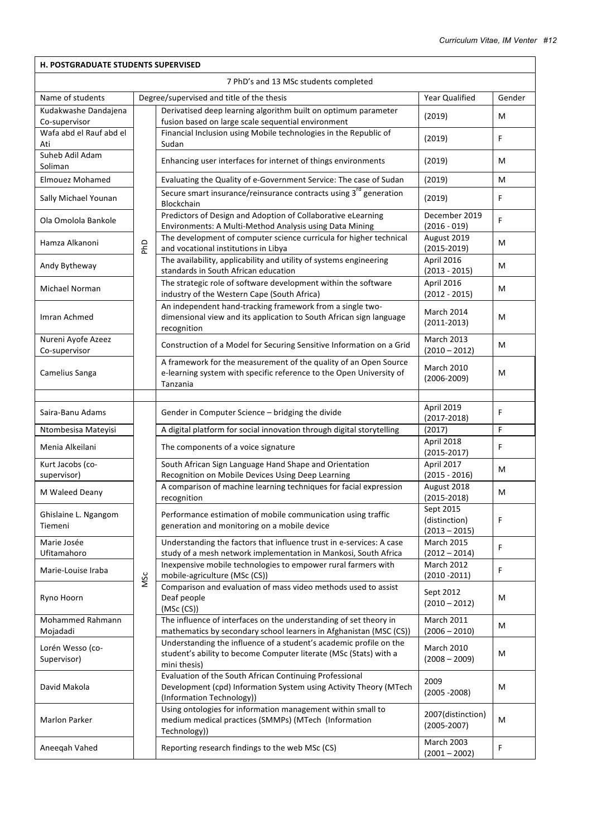| <b>H. POSTGRADUATE STUDENTS SUPERVISED</b> |     |                                                                                                                                                           |                                      |        |  |
|--------------------------------------------|-----|-----------------------------------------------------------------------------------------------------------------------------------------------------------|--------------------------------------|--------|--|
| 7 PhD's and 13 MSc students completed      |     |                                                                                                                                                           |                                      |        |  |
| Name of students                           |     | Degree/supervised and title of the thesis                                                                                                                 | Year Qualified                       | Gender |  |
| Kudakwashe Dandajena<br>Co-supervisor      |     | Derivatised deep learning algorithm built on optimum parameter<br>fusion based on large scale sequential environment                                      | (2019)                               | м      |  |
| Wafa abd el Rauf abd el<br>Ati             |     | Financial Inclusion using Mobile technologies in the Republic of<br>Sudan                                                                                 | (2019)                               | F      |  |
| Suheb Adil Adam<br>Soliman                 |     | Enhancing user interfaces for internet of things environments                                                                                             | (2019)                               | м      |  |
| <b>Elmouez Mohamed</b>                     |     | Evaluating the Quality of e-Government Service: The case of Sudan                                                                                         | (2019)                               | м      |  |
| Sally Michael Younan                       |     | Secure smart insurance/reinsurance contracts using 3 <sup>rd</sup> generation<br>Blockchain                                                               | (2019)                               | F      |  |
| Ola Omolola Bankole                        |     | Predictors of Design and Adoption of Collaborative eLearning<br>Environments: A Multi-Method Analysis using Data Mining                                   | December 2019<br>$(2016 - 019)$      | F      |  |
| Hamza Alkanoni                             | PhD | The development of computer science curricula for higher technical<br>and vocational institutions in Libya                                                | August 2019<br>$(2015 - 2019)$       | м      |  |
| Andy Bytheway                              |     | The availability, applicability and utility of systems engineering<br>standards in South African education                                                | April 2016<br>$(2013 - 2015)$        | м      |  |
| Michael Norman                             |     | The strategic role of software development within the software<br>industry of the Western Cape (South Africa)                                             | April 2016<br>$(2012 - 2015)$        | М      |  |
| Imran Achmed                               |     | An independent hand-tracking framework from a single two-<br>dimensional view and its application to South African sign language<br>recognition           | <b>March 2014</b><br>$(2011 - 2013)$ | M      |  |
| Nureni Ayofe Azeez<br>Co-supervisor        |     | Construction of a Model for Securing Sensitive Information on a Grid                                                                                      | <b>March 2013</b><br>$(2010 - 2012)$ | M      |  |
| Camelius Sanga                             |     | A framework for the measurement of the quality of an Open Source<br>e-learning system with specific reference to the Open University of<br>Tanzania       | <b>March 2010</b><br>$(2006 - 2009)$ | М      |  |
|                                            |     |                                                                                                                                                           |                                      |        |  |
| Saira-Banu Adams                           |     | Gender in Computer Science - bridging the divide                                                                                                          | April 2019<br>$(2017 - 2018)$        | F      |  |
| Ntombesisa Mateyisi                        |     | A digital platform for social innovation through digital storytelling                                                                                     | (2017)                               | F      |  |
| Menia Alkeilani                            |     | The components of a voice signature                                                                                                                       | April 2018<br>$(2015 - 2017)$        | F      |  |
| Kurt Jacobs (co-<br>supervisor)            |     | South African Sign Language Hand Shape and Orientation<br>Recognition on Mobile Devices Using Deep Learning                                               | April 2017<br>$(2015 - 2016)$        | м      |  |
| M Waleed Deany                             |     | A comparison of machine learning techniques for facial expression<br>recognition                                                                          | August 2018<br>$(2015 - 2018)$       | M      |  |
| Ghislaine L. Ngangom<br>Tiemeni            |     | Performance estimation of mobile communication using traffic<br>generation and monitoring on a mobile device                                              | Sept 2015<br>(distinction)           | F      |  |
| Marie Josée                                |     | Understanding the factors that influence trust in e-services: A case                                                                                      | $(2013 - 2015)$<br><b>March 2015</b> | F      |  |
| Ufitamahoro<br>Marie-Louise Iraba          |     | study of a mesh network implementation in Mankosi, South Africa<br>Inexpensive mobile technologies to empower rural farmers with                          | $(2012 - 2014)$<br>March 2012        | F      |  |
| Ryno Hoorn                                 | MSc | mobile-agriculture (MSc (CS))<br>Comparison and evaluation of mass video methods used to assist<br>Deaf people                                            | $(2010 - 2011)$<br>Sept 2012         | M      |  |
|                                            |     | (MSc (CS))                                                                                                                                                | $(2010 - 2012)$                      |        |  |
| Mohammed Rahmann<br>Mojadadi               |     | The influence of interfaces on the understanding of set theory in<br>mathematics by secondary school learners in Afghanistan (MSC (CS))                   | <b>March 2011</b><br>$(2006 - 2010)$ | м      |  |
| Lorén Wesso (co-<br>Supervisor)            |     | Understanding the influence of a student's academic profile on the<br>student's ability to become Computer literate (MSc (Stats) with a<br>mini thesis)   | <b>March 2010</b><br>$(2008 - 2009)$ | M      |  |
| David Makola                               |     | Evaluation of the South African Continuing Professional<br>Development (cpd) Information System using Activity Theory (MTech<br>(Information Technology)) | 2009<br>$(2005 - 2008)$              | M      |  |
| <b>Marlon Parker</b>                       |     | Using ontologies for information management within small to<br>medium medical practices (SMMPs) (MTech (Information<br>Technology))                       | 2007(distinction)<br>$(2005 - 2007)$ | м      |  |
| Aneeqah Vahed                              |     | Reporting research findings to the web MSc (CS)                                                                                                           | <b>March 2003</b><br>$(2001 - 2002)$ | F      |  |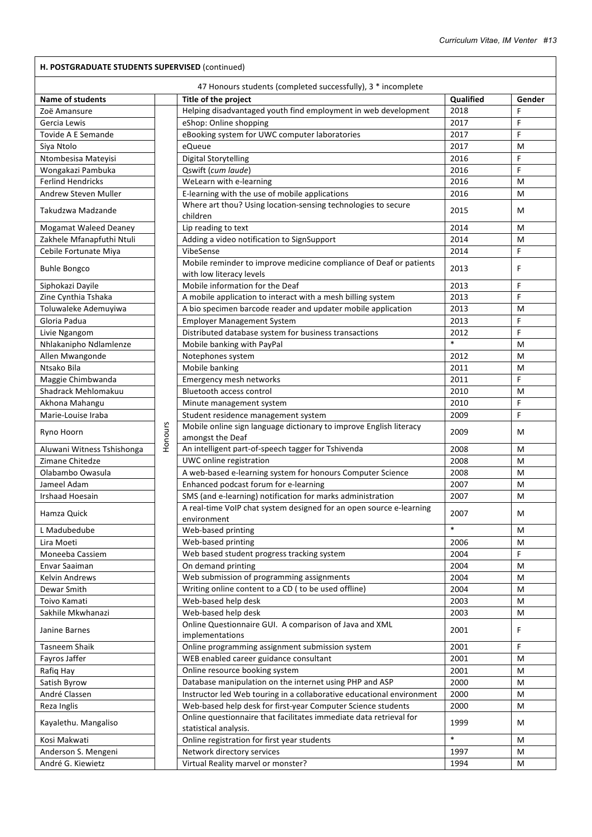| <b>Name of students</b>    |         | Title of the project                                                                        | Qualified | Gender |
|----------------------------|---------|---------------------------------------------------------------------------------------------|-----------|--------|
| Zoë Amansure               |         | Helping disadvantaged youth find employment in web development                              | 2018      | F      |
| Gercia Lewis               |         | eShop: Online shopping                                                                      | 2017      | F      |
| Tovide A E Semande         |         | eBooking system for UWC computer laboratories                                               | 2017      | F      |
| Siya Ntolo                 |         | eQueue                                                                                      | 2017      | M      |
| Ntombesisa Mateyisi        |         | <b>Digital Storytelling</b>                                                                 | 2016      | F      |
| Wongakazi Pambuka          |         | Qswift (cum laude)                                                                          | 2016      | F      |
| <b>Ferlind Hendricks</b>   |         | WeLearn with e-learning                                                                     | 2016      | M      |
| Andrew Steven Muller       |         | E-learning with the use of mobile applications                                              | 2016      | м      |
| Takudzwa Madzande          |         | Where art thou? Using location-sensing technologies to secure<br>children                   | 2015      | М      |
| Mogamat Waleed Deaney      |         | Lip reading to text                                                                         | 2014      | м      |
| Zakhele Mfanapfuthi Ntuli  |         | Adding a video notification to SignSupport                                                  | 2014      | м      |
| Cebile Fortunate Miya      |         | VibeSense                                                                                   | 2014      | F      |
|                            |         | Mobile reminder to improve medicine compliance of Deaf or patients                          |           |        |
| <b>Buhle Bongco</b>        |         | with low literacy levels                                                                    | 2013      | F      |
| Siphokazi Dayile           |         | Mobile information for the Deaf                                                             | 2013      | F      |
| Zine Cynthia Tshaka        |         | A mobile application to interact with a mesh billing system                                 | 2013      | F      |
| Toluwaleke Ademuyiwa       |         | A bio specimen barcode reader and updater mobile application                                | 2013      | M      |
| Gloria Padua               |         | <b>Employer Management System</b>                                                           | 2013      | F      |
| Livie Ngangom              |         | Distributed database system for business transactions                                       | 2012      | F      |
| Nhlakanipho Ndlamlenze     |         | Mobile banking with PayPal                                                                  | $\ast$    | м      |
|                            |         |                                                                                             |           |        |
| Allen Mwangonde            |         | Notephones system                                                                           | 2012      | м      |
| Ntsako Bila                |         | Mobile banking                                                                              | 2011      | м      |
| Maggie Chimbwanda          |         | Emergency mesh networks                                                                     | 2011      | F      |
| Shadrack Mehlomakuu        |         | <b>Bluetooth access control</b>                                                             | 2010      | м      |
| Akhona Mahangu             |         | Minute management system                                                                    | 2010      | F      |
| Marie-Louise Iraba         |         | Student residence management system                                                         | 2009      | F      |
| Ryno Hoorn                 | Honours | Mobile online sign language dictionary to improve English literacy<br>amongst the Deaf      | 2009      | М      |
| Aluwani Witness Tshishonga |         | An intelligent part-of-speech tagger for Tshivenda                                          | 2008      | M      |
| Zimane Chitedze            |         | UWC online registration                                                                     | 2008      | M      |
| Olabambo Owasula           |         | A web-based e-learning system for honours Computer Science                                  | 2008      | M      |
| Jameel Adam                |         | Enhanced podcast forum for e-learning                                                       | 2007      | M      |
| <b>Irshaad Hoesain</b>     |         | SMS (and e-learning) notification for marks administration                                  | 2007      | м      |
| Hamza Quick                |         | A real-time VoIP chat system designed for an open source e-learning<br>environment          | 2007      | М      |
| L Madubedube               |         | Web-based printing                                                                          | $\ast$    | М      |
| Lira Moeti                 |         | Web-based printing                                                                          | 2006      | М      |
| Moneeba Cassiem            |         | Web based student progress tracking system                                                  | 2004      | F      |
| Envar Saaiman              |         | On demand printing                                                                          | 2004      | М      |
| <b>Kelvin Andrews</b>      |         | Web submission of programming assignments                                                   | 2004      | М      |
| Dewar Smith                |         | Writing online content to a CD (to be used offline)                                         | 2004      | М      |
| Toivo Kamati               |         | Web-based help desk                                                                         | 2003      | М      |
| Sakhile Mkwhanazi          |         | Web-based help desk                                                                         | 2003      | М      |
| Janine Barnes              |         | Online Questionnaire GUI. A comparison of Java and XML<br>implementations                   | 2001      | F.     |
| Tasneem Shaik              |         | Online programming assignment submission system                                             | 2001      | F      |
| Fayros Jaffer              |         | WEB enabled career guidance consultant                                                      | 2001      | M      |
| Rafiq Hay                  |         | Online resource booking system                                                              | 2001      | M      |
| Satish Byrow               |         | Database manipulation on the internet using PHP and ASP                                     | 2000      | М      |
| André Classen              |         | Instructor led Web touring in a collaborative educational environment                       | 2000      | М      |
| Reza Inglis                |         | Web-based help desk for first-year Computer Science students                                | 2000      | M      |
| Kayalethu. Mangaliso       |         | Online questionnaire that facilitates immediate data retrieval for<br>statistical analysis. | 1999      | М      |
| Kosi Makwati               |         | Online registration for first year students                                                 | $\ast$    | М      |
| Anderson S. Mengeni        |         | Network directory services                                                                  | 1997      | M      |
| André G. Kiewietz          |         | Virtual Reality marvel or monster?                                                          | 1994      | M      |
|                            |         |                                                                                             |           |        |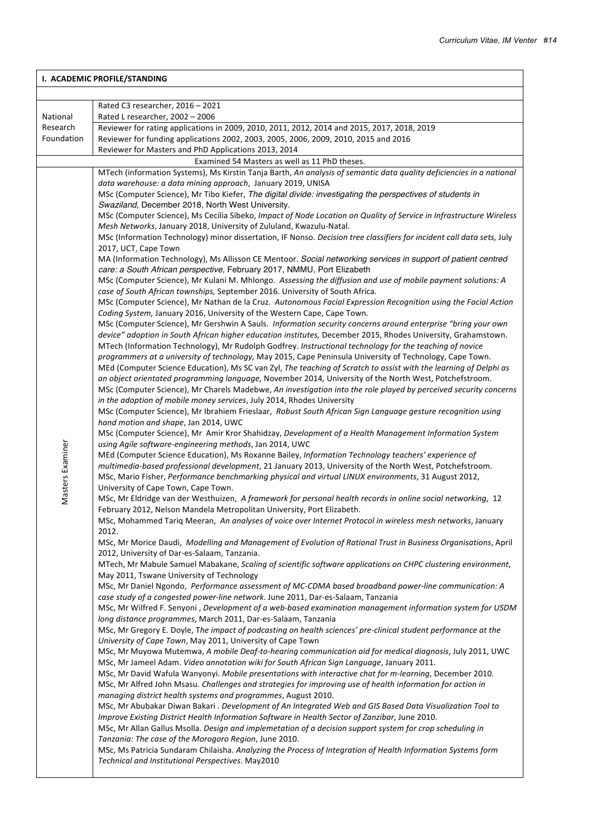$\overline{\phantom{a}}$ 

| I. ACADEMIC PROFILE/STANDING |                                                                                                                                             |  |  |
|------------------------------|---------------------------------------------------------------------------------------------------------------------------------------------|--|--|
|                              |                                                                                                                                             |  |  |
|                              | Rated C3 researcher, 2016 - 2021                                                                                                            |  |  |
| National                     | Rated L researcher, 2002 - 2006                                                                                                             |  |  |
| Research                     | Reviewer for rating applications in 2009, 2010, 2011, 2012, 2014 and 2015, 2017, 2018, 2019                                                 |  |  |
| Foundation                   | Reviewer for funding applications 2002, 2003, 2005, 2006, 2009, 2010, 2015 and 2016                                                         |  |  |
|                              | Reviewer for Masters and PhD Applications 2013, 2014                                                                                        |  |  |
|                              | Examined 54 Masters as well as 11 PhD theses.                                                                                               |  |  |
|                              | MTech (information Systems), Ms Kirstin Tanja Barth, An analysis of semantic data quality deficiencies in a national                        |  |  |
|                              | data warehouse: a data mining approach, January 2019, UNISA                                                                                 |  |  |
|                              | MSc (Computer Science), Mr Tibo Kiefer, The digital divide: investigating the perspectives of students in                                   |  |  |
|                              | Swaziland, December 2018, North West University.                                                                                            |  |  |
|                              | MSc (Computer Science), Ms Cecilia Sibeko, Impact of Node Location on Quality of Service in Infrastructure Wireless                         |  |  |
|                              | Mesh Networks, January 2018, University of Zululand, Kwazulu-Natal.                                                                         |  |  |
|                              | MSc (Information Technology) minor dissertation, IF Nonso. Decision tree classifiers for incident call data sets, July                      |  |  |
|                              | 2017, UCT, Cape Town                                                                                                                        |  |  |
|                              | MA (Information Technology), Ms Allisson CE Mentoor. Social networking services in support of patient centred                               |  |  |
|                              | care: a South African perspective, February 2017, NMMU, Port Elizabeth                                                                      |  |  |
|                              | MSc (Computer Science), Mr Kulani M. Mhlongo. Assessing the diffusion and use of mobile payment solutions: A                                |  |  |
|                              | case of South African townships, September 2016. University of South Africa.                                                                |  |  |
|                              | MSc (Computer Science), Mr Nathan de la Cruz. Autonomous Facial Expression Recognition using the Facial Action                              |  |  |
|                              | Coding System, January 2016, University of the Western Cape, Cape Town.                                                                     |  |  |
|                              | MSc (Computer Science), Mr Gershwin A Sauls. Information security concerns around enterprise "bring your own                                |  |  |
|                              | device" adoption in South African higher education institutes, December 2015, Rhodes University, Grahamstown.                               |  |  |
|                              | MTech (Information Technology), Mr Rudolph Godfrey. Instructional technology for the teaching of novice                                     |  |  |
|                              | programmers at a university of technology, May 2015, Cape Peninsula University of Technology, Cape Town.                                    |  |  |
|                              | MEd (Computer Science Education), Ms SC van Zyl, The teaching of Scratch to assist with the learning of Delphi as                           |  |  |
|                              | an object orientated programming language, November 2014, University of the North West, Potchefstroom.                                      |  |  |
|                              | MSc (Computer Science), Mr Charels Madebwe, An investigation into the role played by perceived security concerns                            |  |  |
|                              | in the adoption of mobile money services, July 2014, Rhodes University                                                                      |  |  |
|                              | MSc (Computer Science), Mr Ibrahiem Frieslaar, Robust South African Sign Language gesture recognition using                                 |  |  |
|                              | hand motion and shape, Jan 2014, UWC                                                                                                        |  |  |
|                              | MSc (Computer Science), Mr Amir Kror Shahidzay, Development of a Health Management Information System                                       |  |  |
| Masters Examiner             | using Agile software-engineering methods, Jan 2014, UWC                                                                                     |  |  |
|                              | MEd (Computer Science Education), Ms Roxanne Bailey, Information Technology teachers' experience of                                         |  |  |
|                              | multimedia-based professional development, 21 January 2013, University of the North West, Potchefstroom.                                    |  |  |
|                              | MSc, Mario Fisher, Performance benchmarking physical and virtual LINUX environments, 31 August 2012,<br>University of Cape Town, Cape Town. |  |  |
|                              | MSc, Mr Eldridge van der Westhuizen, A framework for personal health records in online social networking, 12                                |  |  |
|                              | February 2012, Nelson Mandela Metropolitan University, Port Elizabeth.                                                                      |  |  |
|                              | MSc, Mohammed Tariq Meeran, An analyses of voice over Internet Protocol in wireless mesh networks, January                                  |  |  |
|                              | 2012.                                                                                                                                       |  |  |
|                              | MSc, Mr Morice Daudi, Modelling and Management of Evolution of Rational Trust in Business Organisations, April                              |  |  |
|                              | 2012, University of Dar-es-Salaam, Tanzania.                                                                                                |  |  |
|                              | MTech, Mr Mabule Samuel Mabakane, Scaling of scientific software applications on CHPC clustering environment,                               |  |  |
|                              | May 2011, Tswane University of Technology                                                                                                   |  |  |
|                              | MSc, Mr Daniel Ngondo, Performance assessment of MC-CDMA based broadband power-line communication: A                                        |  |  |
|                              | case study of a congested power-line network. June 2011, Dar-es-Salaam, Tanzania                                                            |  |  |
|                              | MSc, Mr Wilfred F. Senyoni, Development of a web-based examination management information system for USDM                                   |  |  |
|                              | long distance programmes, March 2011, Dar-es-Salaam, Tanzania                                                                               |  |  |
|                              | MSc, Mr Gregory E. Doyle, The impact of podcasting on health sciences' pre-clinical student performance at the                              |  |  |
|                              | University of Cape Town, May 2011, University of Cape Town                                                                                  |  |  |
|                              | MSc, Mr Muyowa Mutemwa, A mobile Deaf-to-hearing communication aid for medical diagnosis, July 2011, UWC                                    |  |  |
|                              | MSc, Mr Jameel Adam. Video annotation wiki for South African Sign Language, January 2011.                                                   |  |  |
|                              | MSc, Mr David Wafula Wanyonyi. Mobile presentations with interactive chat for m-learning, December 2010.                                    |  |  |
|                              | MSc, Mr Alfred John Msasu. Challenges and strategies for improving use of health information for action in                                  |  |  |
|                              | managing district health systems and programmes, August 2010.                                                                               |  |  |
|                              | MSc, Mr Abubakar Diwan Bakari . Development of An Integrated Web and GIS Based Data Visualization Tool to                                   |  |  |
|                              | Improve Existing District Health Information Software in Health Sector of Zanzibar, June 2010.                                              |  |  |
|                              | MSc, Mr Allan Gallus Msolla. Design and implemetation of a decision support system for crop scheduling in                                   |  |  |
|                              | Tanzania: The case of the Morogoro Region, June 2010.                                                                                       |  |  |
|                              | MSc, Ms Patricia Sundaram Chilaisha. Analyzing the Process of Integration of Health Information Systems form                                |  |  |
|                              | Technical and Institutional Perspectives. May2010                                                                                           |  |  |
|                              |                                                                                                                                             |  |  |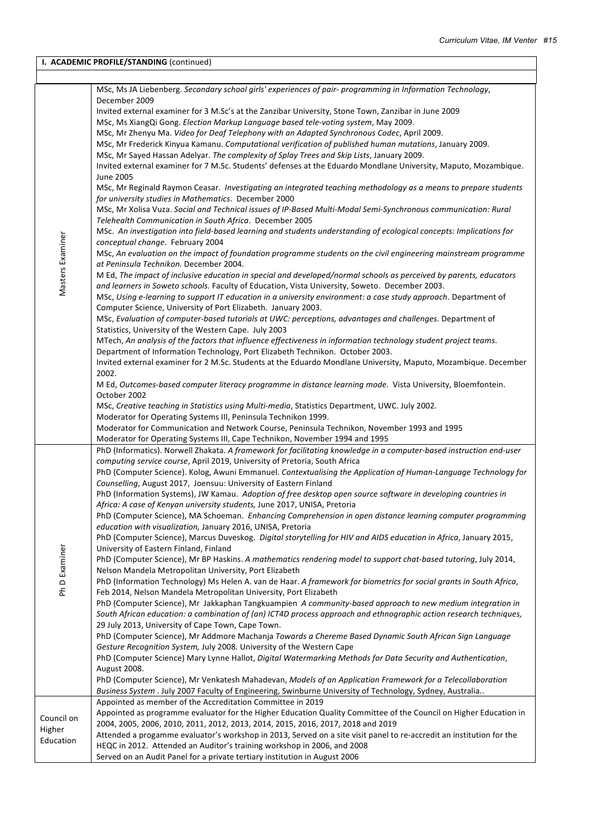| I. ACADEMIC PROFILE/STANDING (continued) |                                                                                                                                                                                                         |  |  |  |
|------------------------------------------|---------------------------------------------------------------------------------------------------------------------------------------------------------------------------------------------------------|--|--|--|
|                                          |                                                                                                                                                                                                         |  |  |  |
|                                          | MSc, Ms JA Liebenberg. Secondary school girls' experiences of pair- programming in Information Technology,                                                                                              |  |  |  |
|                                          | December 2009                                                                                                                                                                                           |  |  |  |
|                                          | Invited external examiner for 3 M.Sc's at the Zanzibar University, Stone Town, Zanzibar in June 2009                                                                                                    |  |  |  |
|                                          | MSc, Ms XiangQi Gong. Election Markup Language based tele-voting system, May 2009.                                                                                                                      |  |  |  |
|                                          | MSc, Mr Zhenyu Ma. Video for Deaf Telephony with an Adapted Synchronous Codec, April 2009.                                                                                                              |  |  |  |
|                                          | MSc, Mr Frederick Kinyua Kamanu. Computational verification of published human mutations, January 2009.                                                                                                 |  |  |  |
|                                          | MSc, Mr Sayed Hassan Adelyar. The complexity of Splay Trees and Skip Lists, January 2009.                                                                                                               |  |  |  |
|                                          | Invited external examiner for 7 M.Sc. Students' defenses at the Eduardo Mondlane University, Maputo, Mozambique.                                                                                        |  |  |  |
|                                          | June 2005                                                                                                                                                                                               |  |  |  |
|                                          | MSc, Mr Reginald Raymon Ceasar. Investigating an integrated teaching methodology as a means to prepare students                                                                                         |  |  |  |
|                                          | for university studies in Mathematics. December 2000                                                                                                                                                    |  |  |  |
|                                          | MSc, Mr Xolisa Vuza. Social and Technical issues of IP-Based Multi-Modal Semi-Synchronous communication: Rural                                                                                          |  |  |  |
|                                          | Telehealth Communication in South Africa. December 2005                                                                                                                                                 |  |  |  |
| Masters Examiner                         | MSc. An investigation into field-based learning and students understanding of ecological concepts: Implications for<br>conceptual change. February 2004                                                 |  |  |  |
|                                          | MSc, An evaluation on the impact of foundation programme students on the civil engineering mainstream programme                                                                                         |  |  |  |
|                                          | at Peninsula Technikon. December 2004.                                                                                                                                                                  |  |  |  |
|                                          | M Ed, The impact of inclusive education in special and developed/normal schools as perceived by parents, educators                                                                                      |  |  |  |
|                                          | and learners in Soweto schools. Faculty of Education, Vista University, Soweto. December 2003.                                                                                                          |  |  |  |
|                                          | MSc, Using e-learning to support IT education in a university environment: a case study approach. Department of                                                                                         |  |  |  |
|                                          | Computer Science, University of Port Elizabeth. January 2003.                                                                                                                                           |  |  |  |
|                                          | MSc, Evaluation of computer-based tutorials at UWC: perceptions, advantages and challenges. Department of                                                                                               |  |  |  |
|                                          | Statistics, University of the Western Cape. July 2003                                                                                                                                                   |  |  |  |
|                                          | MTech, An analysis of the factors that influence effectiveness in information technology student project teams.                                                                                         |  |  |  |
|                                          | Department of Information Technology, Port Elizabeth Technikon. October 2003.                                                                                                                           |  |  |  |
|                                          | Invited external examiner for 2 M.Sc. Students at the Eduardo Mondlane University, Maputo, Mozambique. December                                                                                         |  |  |  |
|                                          | 2002.                                                                                                                                                                                                   |  |  |  |
|                                          | M Ed, Outcomes-based computer literacy programme in distance learning mode. Vista University, Bloemfontein.                                                                                             |  |  |  |
|                                          | October 2002                                                                                                                                                                                            |  |  |  |
|                                          | MSc, Creative teaching in Statistics using Multi-media, Statistics Department, UWC. July 2002.<br>Moderator for Operating Systems III, Peninsula Technikon 1999.                                        |  |  |  |
|                                          | Moderator for Communication and Network Course, Peninsula Technikon, November 1993 and 1995                                                                                                             |  |  |  |
|                                          | Moderator for Operating Systems III, Cape Technikon, November 1994 and 1995                                                                                                                             |  |  |  |
|                                          | PhD (Informatics). Norwell Zhakata. A framework for facilitating knowledge in a computer-based instruction end-user                                                                                     |  |  |  |
|                                          | computing service course, April 2019, University of Pretoria, South Africa                                                                                                                              |  |  |  |
|                                          | PhD (Computer Science). Kolog, Awuni Emmanuel. Contextualising the Application of Human-Language Technology for                                                                                         |  |  |  |
|                                          | Counselling, August 2017, Joensuu: University of Eastern Finland                                                                                                                                        |  |  |  |
|                                          | PhD (Information Systems), JW Kamau. Adoption of free desktop open source software in developing countries in                                                                                           |  |  |  |
|                                          | Africa: A case of Kenyan university students, June 2017, UNISA, Pretoria                                                                                                                                |  |  |  |
|                                          | PhD (Computer Science), MA Schoeman. Enhancing Comprehension in open distance learning computer programming                                                                                             |  |  |  |
|                                          | education with visualization, January 2016, UNISA, Pretoria                                                                                                                                             |  |  |  |
|                                          | PhD (Computer Science), Marcus Duveskog. Digital storytelling for HIV and AIDS education in Africa, January 2015,                                                                                       |  |  |  |
|                                          | University of Eastern Finland, Finland<br>PhD (Computer Science), Mr BP Haskins. A mathematics rendering model to support chat-based tutoring, July 2014,                                               |  |  |  |
| Ph D Examiner                            | Nelson Mandela Metropolitan University, Port Elizabeth                                                                                                                                                  |  |  |  |
|                                          | PhD (Information Technology) Ms Helen A. van de Haar. A framework for biometrics for social grants in South Africa,                                                                                     |  |  |  |
|                                          | Feb 2014, Nelson Mandela Metropolitan University, Port Elizabeth                                                                                                                                        |  |  |  |
|                                          | PhD (Computer Science), Mr Jakkaphan Tangkuampien A community-based approach to new medium integration in                                                                                               |  |  |  |
|                                          | South African education: a combination of (an) ICT4D process approach and ethnographic action research techniques,                                                                                      |  |  |  |
|                                          | 29 July 2013, University of Cape Town, Cape Town.                                                                                                                                                       |  |  |  |
|                                          | PhD (Computer Science), Mr Addmore Machanja Towards a Chereme Based Dynamic South African Sign Language                                                                                                 |  |  |  |
|                                          | Gesture Recognition System, July 2008. University of the Western Cape                                                                                                                                   |  |  |  |
|                                          | PhD (Computer Science) Mary Lynne Hallot, Digital Watermarking Methods for Data Security and Authentication,                                                                                            |  |  |  |
|                                          | August 2008.                                                                                                                                                                                            |  |  |  |
|                                          | PhD (Computer Science), Mr Venkatesh Mahadevan, Models of an Application Framework for a Telecollaboration                                                                                              |  |  |  |
|                                          | Business System . July 2007 Faculty of Engineering, Swinburne University of Technology, Sydney, Australia                                                                                               |  |  |  |
|                                          | Appointed as member of the Accreditation Committee in 2019                                                                                                                                              |  |  |  |
| Council on                               | Appointed as programme evaluator for the Higher Education Quality Committee of the Council on Higher Education in                                                                                       |  |  |  |
| Higher                                   | 2004, 2005, 2006, 2010, 2011, 2012, 2013, 2014, 2015, 2016, 2017, 2018 and 2019<br>Attended a progamme evaluator's workshop in 2013, Served on a site visit panel to re-accredit an institution for the |  |  |  |
| Education                                | HEQC in 2012. Attended an Auditor's training workshop in 2006, and 2008                                                                                                                                 |  |  |  |
|                                          | Served on an Audit Panel for a private tertiary institution in August 2006                                                                                                                              |  |  |  |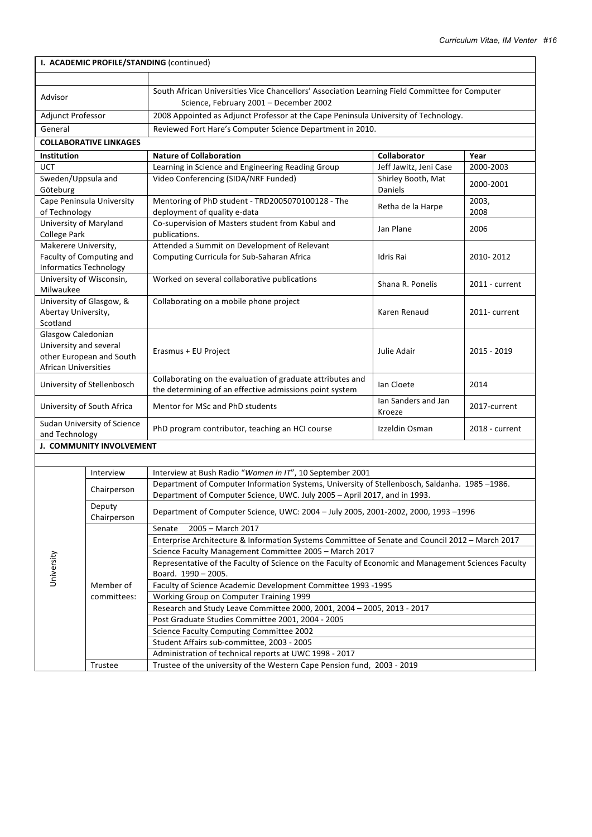| I. ACADEMIC PROFILE/STANDING (continued)                                                                |                               |                                                                                                                                                                           |                                                         |                   |  |  |
|---------------------------------------------------------------------------------------------------------|-------------------------------|---------------------------------------------------------------------------------------------------------------------------------------------------------------------------|---------------------------------------------------------|-------------------|--|--|
|                                                                                                         |                               |                                                                                                                                                                           |                                                         |                   |  |  |
| Advisor                                                                                                 |                               | South African Universities Vice Chancellors' Association Learning Field Committee for Computer<br>Science, February 2001 - December 2002                                  |                                                         |                   |  |  |
| Adjunct Professor                                                                                       |                               | 2008 Appointed as Adjunct Professor at the Cape Peninsula University of Technology.                                                                                       |                                                         |                   |  |  |
| General                                                                                                 |                               | Reviewed Fort Hare's Computer Science Department in 2010.                                                                                                                 |                                                         |                   |  |  |
|                                                                                                         | <b>COLLABORATIVE LINKAGES</b> |                                                                                                                                                                           |                                                         |                   |  |  |
|                                                                                                         |                               | <b>Nature of Collaboration</b>                                                                                                                                            | <b>Collaborator</b>                                     |                   |  |  |
| Institution<br>UCT                                                                                      |                               | Learning in Science and Engineering Reading Group                                                                                                                         |                                                         | Year<br>2000-2003 |  |  |
| Sweden/Uppsula and<br>Göteburg                                                                          |                               | Video Conferencing (SIDA/NRF Funded)                                                                                                                                      | Jeff Jawitz, Jeni Case<br>Shirley Booth, Mat<br>Daniels | 2000-2001         |  |  |
| of Technology                                                                                           | Cape Peninsula University     | Mentoring of PhD student - TRD2005070100128 - The<br>deployment of quality e-data                                                                                         | Retha de la Harpe                                       | 2003,<br>2008     |  |  |
| University of Maryland<br>College Park                                                                  |                               | Co-supervision of Masters student from Kabul and<br>publications.                                                                                                         | Jan Plane                                               | 2006              |  |  |
| Makerere University,<br><b>Informatics Technology</b>                                                   | Faculty of Computing and      | Attended a Summit on Development of Relevant<br>Computing Curricula for Sub-Saharan Africa                                                                                | Idris Rai                                               | 2010-2012         |  |  |
| University of Wisconsin,<br>Milwaukee                                                                   |                               | Worked on several collaborative publications                                                                                                                              | Shana R. Ponelis                                        | 2011 - current    |  |  |
| Abertay University,<br>Scotland                                                                         | University of Glasgow, &      | Collaborating on a mobile phone project                                                                                                                                   | Karen Renaud                                            | 2011- current     |  |  |
| Glasgow Caledonian<br>University and several<br>other European and South<br><b>African Universities</b> |                               | Erasmus + EU Project                                                                                                                                                      | Julie Adair                                             | 2015 - 2019       |  |  |
|                                                                                                         | University of Stellenbosch    | Collaborating on the evaluation of graduate attributes and<br>the determining of an effective admissions point system                                                     | lan Cloete                                              | 2014              |  |  |
| University of South Africa                                                                              |                               | Mentor for MSc and PhD students                                                                                                                                           | lan Sanders and Jan<br>Kroeze                           | 2017-current      |  |  |
| Sudan University of Science<br>and Technology                                                           |                               | PhD program contributor, teaching an HCI course                                                                                                                           | Izzeldin Osman                                          | 2018 - current    |  |  |
|                                                                                                         | J. COMMUNITY INVOLVEMENT      |                                                                                                                                                                           |                                                         |                   |  |  |
|                                                                                                         |                               |                                                                                                                                                                           |                                                         |                   |  |  |
|                                                                                                         | Interview                     | Interview at Bush Radio "Women in IT", 10 September 2001                                                                                                                  |                                                         |                   |  |  |
|                                                                                                         | Chairperson                   | Department of Computer Information Systems, University of Stellenbosch, Saldanha. 1985-1986.<br>Department of Computer Science, UWC. July 2005 - April 2017, and in 1993. |                                                         |                   |  |  |
|                                                                                                         | Deputy<br>Chairperson         | Department of Computer Science, UWC: 2004 - July 2005, 2001-2002, 2000, 1993 -1996                                                                                        |                                                         |                   |  |  |
|                                                                                                         |                               | 2005 - March 2017<br>Senate                                                                                                                                               |                                                         |                   |  |  |
|                                                                                                         |                               | Enterprise Architecture & Information Systems Committee of Senate and Council 2012 - March 2017                                                                           |                                                         |                   |  |  |
|                                                                                                         |                               | Science Faculty Management Committee 2005 - March 2017                                                                                                                    |                                                         |                   |  |  |
|                                                                                                         |                               | Representative of the Faculty of Science on the Faculty of Economic and Management Sciences Faculty                                                                       |                                                         |                   |  |  |
| University                                                                                              |                               | Board. 1990 - 2005.                                                                                                                                                       |                                                         |                   |  |  |
|                                                                                                         | Member of<br>committees:      | Faculty of Science Academic Development Committee 1993 -1995<br>Working Group on Computer Training 1999                                                                   |                                                         |                   |  |  |
|                                                                                                         |                               | Research and Study Leave Committee 2000, 2001, 2004 - 2005, 2013 - 2017                                                                                                   |                                                         |                   |  |  |
|                                                                                                         |                               | Post Graduate Studies Committee 2001, 2004 - 2005                                                                                                                         |                                                         |                   |  |  |
|                                                                                                         |                               | Science Faculty Computing Committee 2002                                                                                                                                  |                                                         |                   |  |  |
|                                                                                                         |                               | Student Affairs sub-committee, 2003 - 2005                                                                                                                                |                                                         |                   |  |  |
|                                                                                                         |                               | Administration of technical reports at UWC 1998 - 2017                                                                                                                    |                                                         |                   |  |  |
|                                                                                                         | Trustee                       | Trustee of the university of the Western Cape Pension fund, 2003 - 2019                                                                                                   |                                                         |                   |  |  |